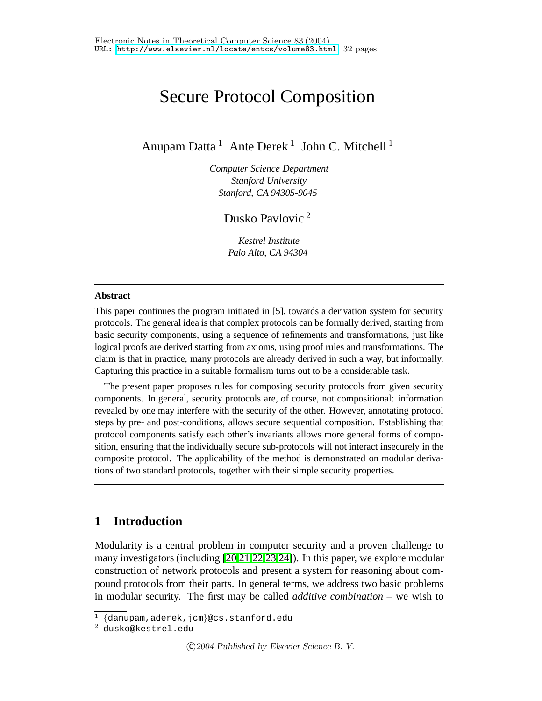# Secure Protocol Composition

Anupam Datta  $^1$  Ante Derek  $^1$  John C. Mitchell  $^1$ 

*Computer Science Department Stanford University Stanford, CA 94305-9045*

Dusko Pavlovic <sup>2</sup>

*Kestrel Institute Palo Alto, CA 94304*

#### **Abstract**

This paper continues the program initiated in [5], towards a derivation system for security protocols. The general idea is that complex protocols can be formally derived, starting from basic security components, using a sequence of refinements and transformations, just like logical proofs are derived starting from axioms, using proof rules and transformations. The claim is that in practice, many protocols are already derived in such a way, but informally. Capturing this practice in a suitable formalism turns out to be a considerable task.

The present paper proposes rules for composing security protocols from given security components. In general, security protocols are, of course, not compositional: information revealed by one may interfere with the security of the other. However, annotating protocol steps by pre- and post-conditions, allows secure sequential composition. Establishing that protocol components satisfy each other's invariants allows more general forms of composition, ensuring that the individually secure sub-protocols will not interact insecurely in the composite protocol. The applicability of the method is demonstrated on modular derivations of two standard protocols, together with their simple security properties.

# **1 Introduction**

Modularity is a central problem in computer security and a proven challenge to many investigators (including [\[20](#page-20-0)[,21](#page-20-1)[,22,](#page-20-2)[23,](#page-20-3)[24\]](#page-20-4)). In this paper, we explore modular construction of network protocols and present a system for reasoning about compound protocols from their parts. In general terms, we address two basic problems in modular security. The first may be called *additive combination* – we wish to

<sup>1</sup> {danupam,aderek,jcm}@cs.stanford.edu

<sup>2</sup> dusko@kestrel.edu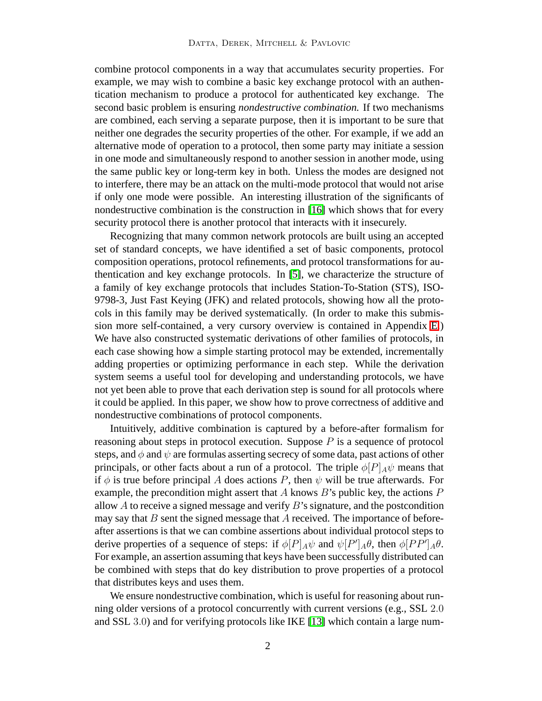combine protocol components in a way that accumulates security properties. For example, we may wish to combine a basic key exchange protocol with an authentication mechanism to produce a protocol for authenticated key exchange. The second basic problem is ensuring *nondestructive combination.* If two mechanisms are combined, each serving a separate purpose, then it is important to be sure that neither one degrades the security properties of the other. For example, if we add an alternative mode of operation to a protocol, then some party may initiate a session in one mode and simultaneously respond to another session in another mode, using the same public key or long-term key in both. Unless the modes are designed not to interfere, there may be an attack on the multi-mode protocol that would not arise if only one mode were possible. An interesting illustration of the significants of nondestructive combination is the construction in [\[16\]](#page-19-0) which shows that for every security protocol there is another protocol that interacts with it insecurely.

Recognizing that many common network protocols are built using an accepted set of standard concepts, we have identified a set of basic components, protocol composition operations, protocol refinements, and protocol transformations for authentication and key exchange protocols. In [\[5\]](#page-19-1), we characterize the structure of a family of key exchange protocols that includes Station-To-Station (STS), ISO-9798-3, Just Fast Keying (JFK) and related protocols, showing how all the protocols in this family may be derived systematically. (In order to make this submission more self-contained, a very cursory overview is contained in Appendix [E.](#page-30-0)) We have also constructed systematic derivations of other families of protocols, in each case showing how a simple starting protocol may be extended, incrementally adding properties or optimizing performance in each step. While the derivation system seems a useful tool for developing and understanding protocols, we have not yet been able to prove that each derivation step is sound for all protocols where it could be applied. In this paper, we show how to prove correctness of additive and nondestructive combinations of protocol components.

Intuitively, additive combination is captured by a before-after formalism for reasoning about steps in protocol execution. Suppose  $P$  is a sequence of protocol steps, and  $\phi$  and  $\psi$  are formulas asserting secrecy of some data, past actions of other principals, or other facts about a run of a protocol. The triple  $\phi[P]_A\psi$  means that if  $\phi$  is true before principal A does actions P, then  $\psi$  will be true afterwards. For example, the precondition might assert that A knows  $B$ 's public key, the actions  $P$ allow  $A$  to receive a signed message and verify  $B$ 's signature, and the postcondition may say that  $B$  sent the signed message that  $A$  received. The importance of beforeafter assertions is that we can combine assertions about individual protocol steps to derive properties of a sequence of steps: if  $\phi[P]_A \psi$  and  $\psi[P']_A \theta$ , then  $\phi[PP']_A \theta$ . For example, an assertion assuming that keys have been successfully distributed can be combined with steps that do key distribution to prove properties of a protocol that distributes keys and uses them.

We ensure nondestructive combination, which is useful for reasoning about running older versions of a protocol concurrently with current versions (e.g., SSL 2.0 and SSL 3.0) and for verifying protocols like IKE [\[13\]](#page-19-2) which contain a large num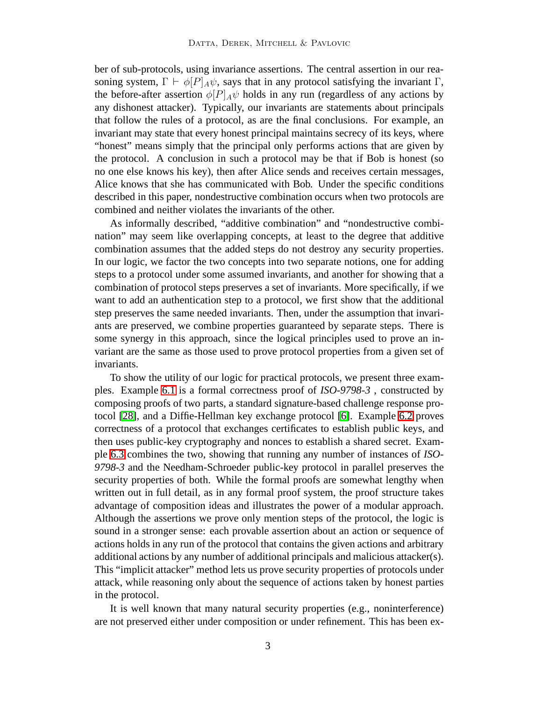ber of sub-protocols, using invariance assertions. The central assertion in our reasoning system,  $\Gamma \vdash \phi[P]_A \psi$ , says that in any protocol satisfying the invariant  $\Gamma$ , the before-after assertion  $\phi[P]_A\psi$  holds in any run (regardless of any actions by any dishonest attacker). Typically, our invariants are statements about principals that follow the rules of a protocol, as are the final conclusions. For example, an invariant may state that every honest principal maintains secrecy of its keys, where "honest" means simply that the principal only performs actions that are given by the protocol. A conclusion in such a protocol may be that if Bob is honest (so no one else knows his key), then after Alice sends and receives certain messages, Alice knows that she has communicated with Bob. Under the specific conditions described in this paper, nondestructive combination occurs when two protocols are combined and neither violates the invariants of the other.

As informally described, "additive combination" and "nondestructive combination" may seem like overlapping concepts, at least to the degree that additive combination assumes that the added steps do not destroy any security properties. In our logic, we factor the two concepts into two separate notions, one for adding steps to a protocol under some assumed invariants, and another for showing that a combination of protocol steps preserves a set of invariants. More specifically, if we want to add an authentication step to a protocol, we first show that the additional step preserves the same needed invariants. Then, under the assumption that invariants are preserved, we combine properties guaranteed by separate steps. There is some synergy in this approach, since the logical principles used to prove an invariant are the same as those used to prove protocol properties from a given set of invariants.

To show the utility of our logic for practical protocols, we present three examples. Example [6.1](#page-13-0) is a formal correctness proof of *ISO-9798-3* , constructed by composing proofs of two parts, a standard signature-based challenge response protocol [\[28\]](#page-20-5), and a Diffie-Hellman key exchange protocol [\[6\]](#page-19-3). Example [6.2](#page-16-0) proves correctness of a protocol that exchanges certificates to establish public keys, and then uses public-key cryptography and nonces to establish a shared secret. Example [6.3](#page-16-1) combines the two, showing that running any number of instances of *ISO-9798-3* and the Needham-Schroeder public-key protocol in parallel preserves the security properties of both. While the formal proofs are somewhat lengthy when written out in full detail, as in any formal proof system, the proof structure takes advantage of composition ideas and illustrates the power of a modular approach. Although the assertions we prove only mention steps of the protocol, the logic is sound in a stronger sense: each provable assertion about an action or sequence of actions holds in any run of the protocol that contains the given actions and arbitrary additional actions by any number of additional principals and malicious attacker(s). This "implicit attacker" method lets us prove security properties of protocols under attack, while reasoning only about the sequence of actions taken by honest parties in the protocol.

It is well known that many natural security properties (e.g., noninterference) are not preserved either under composition or under refinement. This has been ex-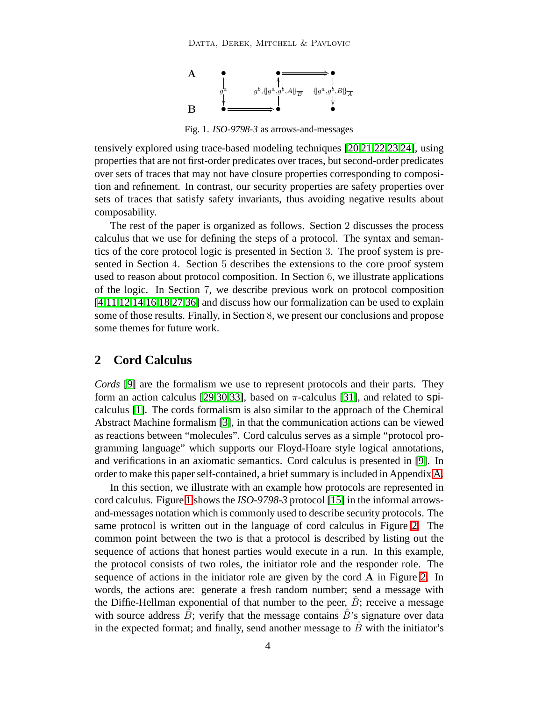

<span id="page-3-0"></span>Fig. 1. *ISO-9798-3* as arrows-and-messages

tensively explored using trace-based modeling techniques [\[20,](#page-20-0)[21,](#page-20-1)[22,](#page-20-2)[23,](#page-20-3)[24\]](#page-20-4), using properties that are not first-order predicates over traces, but second-order predicates over sets of traces that may not have closure properties corresponding to composition and refinement. In contrast, our security properties are safety properties over sets of traces that satisfy safety invariants, thus avoiding negative results about composability.

The rest of the paper is organized as follows. Section 2 discusses the process calculus that we use for defining the steps of a protocol. The syntax and semantics of the core protocol logic is presented in Section 3. The proof system is presented in Section 4. Section 5 describes the extensions to the core proof system used to reason about protocol composition. In Section 6, we illustrate applications of the logic. In Section 7, we describe previous work on protocol composition [\[4,](#page-18-0)[11,](#page-19-4)[12,](#page-19-5)[14,](#page-19-6)[16,](#page-19-0)[18,](#page-19-7)[27,](#page-20-6)[36\]](#page-20-7) and discuss how our formalization can be used to explain some of those results. Finally, in Section 8, we present our conclusions and propose some themes for future work.

# **2 Cord Calculus**

*Cords* [\[9\]](#page-19-8) are the formalism we use to represent protocols and their parts. They form an action calculus [\[29,](#page-20-8)[30,](#page-20-9)[33\]](#page-20-10), based on  $\pi$ -calculus [\[31\]](#page-20-11), and related to spicalculus [\[1\]](#page-18-1). The cords formalism is also similar to the approach of the Chemical Abstract Machine formalism [\[3\]](#page-18-2), in that the communication actions can be viewed as reactions between "molecules". Cord calculus serves as a simple "protocol programming language" which supports our Floyd-Hoare style logical annotations, and verifications in an axiomatic semantics. Cord calculus is presented in [\[9\]](#page-19-8). In order to make this paper self-contained, a brief summary is included in Appendix [A.](#page-21-0)

In this section, we illustrate with an example how protocols are represented in cord calculus. Figure [1](#page-3-0) shows the *ISO-9798-3* protocol [\[15\]](#page-19-9) in the informal arrowsand-messages notation which is commonly used to describe security protocols. The same protocol is written out in the language of cord calculus in Figure [2.](#page-4-0) The common point between the two is that a protocol is described by listing out the sequence of actions that honest parties would execute in a run. In this example, the protocol consists of two roles, the initiator role and the responder role. The sequence of actions in the initiator role are given by the cord A in Figure [2.](#page-4-0) In words, the actions are: generate a fresh random number; send a message with the Diffie-Hellman exponential of that number to the peer,  $\hat{B}$ ; receive a message with source address  $\hat{B}$ ; verify that the message contains  $\hat{B}$ 's signature over data in the expected format; and finally, send another message to  $\hat{B}$  with the initiator's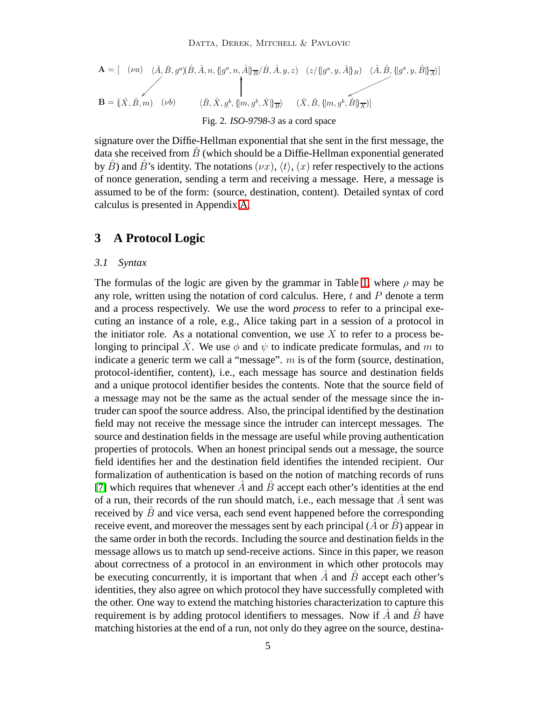$$
\mathbf{A} = \begin{bmatrix} (\nu a) & \langle \hat{A}, \hat{B}, g^a \rangle \langle \hat{B}, \hat{A}, n, \{g^a, n, \hat{A}\} \overline{B} / \hat{B}, \hat{A}, y, z) & (z/\sqrt{g^a}, y, \hat{A} \overline{g}) & \langle \hat{A}, \hat{B}, \{g^a, y, \hat{B}\} \overline{A} \rangle \end{bmatrix}
$$
\n
$$
\mathbf{B} = \begin{bmatrix} (\hat{X}, \hat{B}, m) & (\nu b) & \langle \hat{B}, \hat{X}, g^b, \{m, g^b, \hat{X}\} \overline{B} \rangle & (\hat{X}, \hat{B}, \{m, g^b, \hat{B}\} \overline{X}) \end{bmatrix}
$$
\n
$$
\text{Fig. 2. ISO-9798-3 as a cord space}
$$

<span id="page-4-0"></span>signature over the Diffie-Hellman exponential that she sent in the first message, the data she received from  $\hat{B}$  (which should be a Diffie-Hellman exponential generated by  $\hat{B}$ ) and  $\hat{B}$ 's identity. The notations  $(\nu x)$ ,  $\langle t \rangle$ ,  $(x)$  refer respectively to the actions of nonce generation, sending a term and receiving a message. Here, a message is assumed to be of the form: (source, destination, content). Detailed syntax of cord calculus is presented in Appendix [A.](#page-21-0)

# **3 A Protocol Logic**

#### *3.1 Syntax*

The formulas of the logic are given by the grammar in Table [1,](#page-6-0) where  $\rho$  may be any role, written using the notation of cord calculus. Here,  $t$  and  $P$  denote a term and a process respectively. We use the word *process* to refer to a principal executing an instance of a role, e.g., Alice taking part in a session of a protocol in the initiator role. As a notational convention, we use  $X$  to refer to a process belonging to principal X. We use  $\phi$  and  $\psi$  to indicate predicate formulas, and m to indicate a generic term we call a "message".  $m$  is of the form (source, destination, protocol-identifier, content), i.e., each message has source and destination fields and a unique protocol identifier besides the contents. Note that the source field of a message may not be the same as the actual sender of the message since the intruder can spoof the source address. Also, the principal identified by the destination field may not receive the message since the intruder can intercept messages. The source and destination fields in the message are useful while proving authentication properties of protocols. When an honest principal sends out a message, the source field identifies her and the destination field identifies the intended recipient. Our formalization of authentication is based on the notion of matching records of runs [\[7\]](#page-19-10) which requires that whenever  $\hat{A}$  and  $\hat{B}$  accept each other's identities at the end of a run, their records of the run should match, i.e., each message that  $A \text{ sent was}$ received by  $\ddot{B}$  and vice versa, each send event happened before the corresponding receive event, and moreover the messages sent by each principal  $(\hat{A} \text{ or } \hat{B})$  appear in the same order in both the records. Including the source and destination fields in the message allows us to match up send-receive actions. Since in this paper, we reason about correctness of a protocol in an environment in which other protocols may be executing concurrently, it is important that when  $A$  and  $B$  accept each other's identities, they also agree on which protocol they have successfully completed with the other. One way to extend the matching histories characterization to capture this requirement is by adding protocol identifiers to messages. Now if  $\ddot{A}$  and  $\ddot{B}$  have matching histories at the end of a run, not only do they agree on the source, destina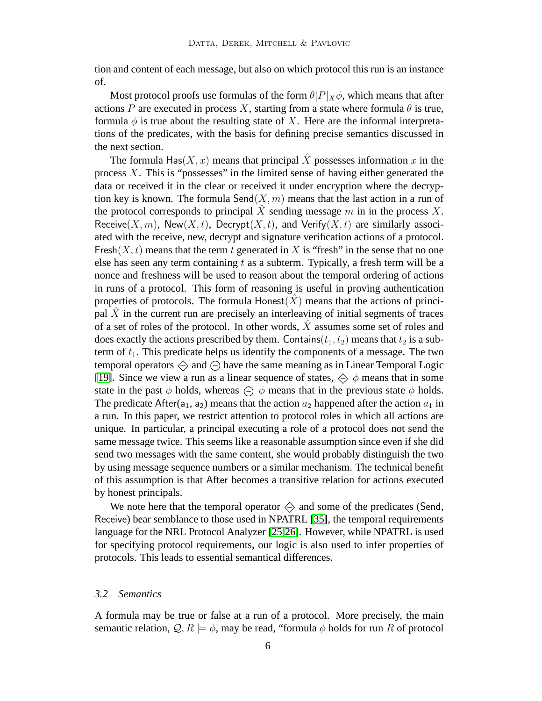tion and content of each message, but also on which protocol this run is an instance of.

Most protocol proofs use formulas of the form  $\theta[P]_X\phi$ , which means that after actions P are executed in process X, starting from a state where formula  $\theta$  is true, formula  $\phi$  is true about the resulting state of X. Here are the informal interpretations of the predicates, with the basis for defining precise semantics discussed in the next section.

The formula Has $(X, x)$  means that principal X possesses information x in the process  $X$ . This is "possesses" in the limited sense of having either generated the data or received it in the clear or received it under encryption where the decryption key is known. The formula  $\text{Send}(X, m)$  means that the last action in a run of the protocol corresponds to principal  $\tilde{X}$  sending message  $m$  in in the process  $X$ . Receive(X, m), New(X, t), Decrypt(X, t), and Verify(X, t) are similarly associated with the receive, new, decrypt and signature verification actions of a protocol. Fresh $(X, t)$  means that the term t generated in X is "fresh" in the sense that no one else has seen any term containing  $t$  as a subterm. Typically, a fresh term will be a nonce and freshness will be used to reason about the temporal ordering of actions in runs of a protocol. This form of reasoning is useful in proving authentication properties of protocols. The formula  $H$ onest $(X)$  means that the actions of principal  $\overline{X}$  in the current run are precisely an interleaving of initial segments of traces of a set of roles of the protocol. In other words,  $\hat{X}$  assumes some set of roles and does exactly the actions prescribed by them. Contains( $t_1, t_2$ ) means that  $t_2$  is a subterm of  $t_1$ . This predicate helps us identify the components of a message. The two temporal operators  $\Diamond$  and  $\ominus$  have the same meaning as in Linear Temporal Logic [\[19\]](#page-19-11). Since we view a run as a linear sequence of states,  $\Diamond \phi$  means that in some state in the past  $\phi$  holds, whereas  $\ominus$   $\phi$  means that in the previous state  $\phi$  holds. The predicate After(a<sub>1</sub>, a<sub>2</sub>) means that the action  $a_2$  happened after the action  $a_1$  in a run. In this paper, we restrict attention to protocol roles in which all actions are unique. In particular, a principal executing a role of a protocol does not send the same message twice. This seems like a reasonable assumption since even if she did send two messages with the same content, she would probably distinguish the two by using message sequence numbers or a similar mechanism. The technical benefit of this assumption is that After becomes a transitive relation for actions executed by honest principals.

We note here that the temporal operator  $\Leftrightarrow$  and some of the predicates (Send, Receive) bear semblance to those used in NPATRL [\[35\]](#page-20-12), the temporal requirements language for the NRL Protocol Analyzer [\[25,](#page-20-13)[26\]](#page-20-14). However, while NPATRL is used for specifying protocol requirements, our logic is also used to infer properties of protocols. This leads to essential semantical differences.

#### *3.2 Semantics*

A formula may be true or false at a run of a protocol. More precisely, the main semantic relation,  $\mathcal{Q}, R \models \phi$ , may be read, "formula  $\phi$  holds for run R of protocol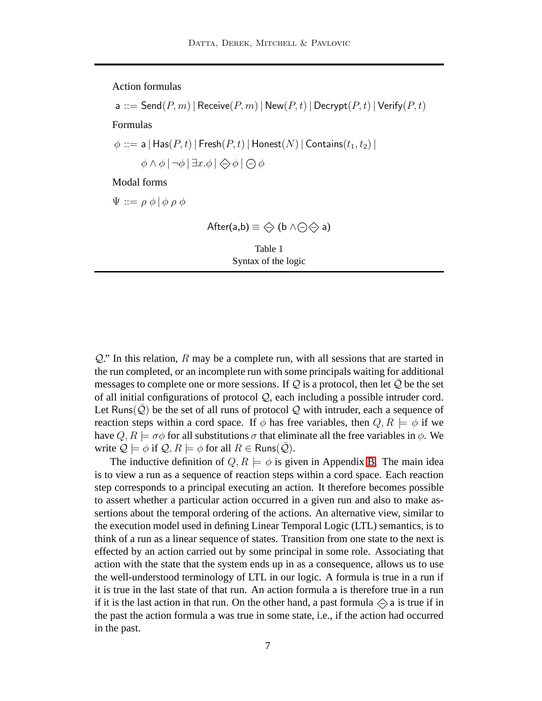Action formulas

a ::= Send $(P, m)$  | Receive $(P, m)$  | New $(P, t)$  | Decrypt $(P, t)$  | Verify $(P, t)$ 

Formulas

 $\phi ::= \mathsf{a} | \mathsf{Has}(P, t) | \mathsf{Fresh}(P, t) | \mathsf{Honest}(N) | \mathsf{contains}(t_1, t_2) |$ 

 $\phi \wedge \phi \mid \neg \phi \mid \exists x. \phi \mid \bigoplus \phi \mid \bigoplus \phi$ 

Modal forms

 $\Psi ::= \rho \phi \, | \, \phi \, \rho \, \phi$ 

<span id="page-6-0"></span>After(a,b)  $\equiv \Leftrightarrow$  (b  $\land \ominus \Leftrightarrow$  a)

Table 1 Syntax of the logic

 $Q$ ." In this relation, R may be a complete run, with all sessions that are started in the run completed, or an incomplete run with some principals waiting for additional messages to complete one or more sessions. If  $Q$  is a protocol, then let  $\overline{Q}$  be the set of all initial configurations of protocol  $Q$ , each including a possible intruder cord. Let Runs( $Q$ ) be the set of all runs of protocol  $Q$  with intruder, each a sequence of reaction steps within a cord space. If  $\phi$  has free variables, then  $Q, R \models \phi$  if we have  $Q, R \models \sigma \phi$  for all substitutions  $\sigma$  that eliminate all the free variables in  $\phi$ . We write  $\mathcal{Q} \models \phi$  if  $\mathcal{Q}, R \models \phi$  for all  $R \in \text{Runs}(\bar{\mathcal{Q}})$ .

The inductive definition of  $Q, R \models \phi$  is given in Appendix [B.](#page-24-0) The main idea is to view a run as a sequence of reaction steps within a cord space. Each reaction step corresponds to a principal executing an action. It therefore becomes possible to assert whether a particular action occurred in a given run and also to make assertions about the temporal ordering of the actions. An alternative view, similar to the execution model used in defining Linear Temporal Logic (LTL) semantics, is to think of a run as a linear sequence of states. Transition from one state to the next is effected by an action carried out by some principal in some role. Associating that action with the state that the system ends up in as a consequence, allows us to use the well-understood terminology of LTL in our logic. A formula is true in a run if it is true in the last state of that run. An action formula a is therefore true in a run if it is the last action in that run. On the other hand, a past formula  $\Diamond$  a is true if in the past the action formula a was true in some state, i.e., if the action had occurred in the past.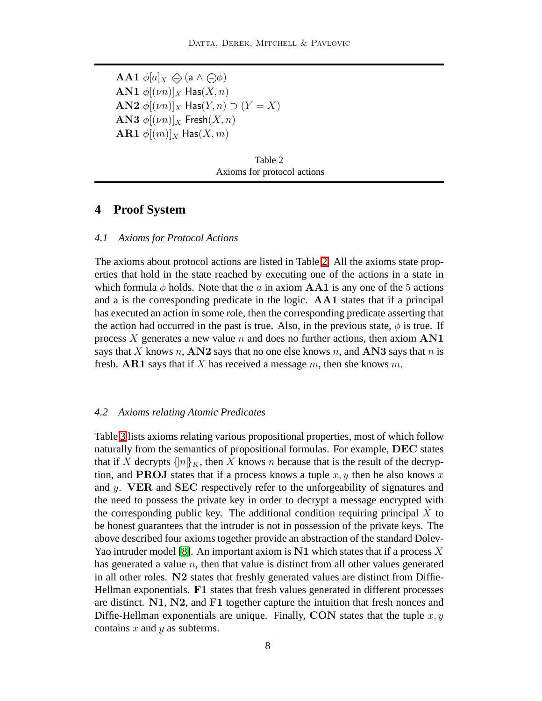**AA1**  $\phi[a]_X \Leftrightarrow$  (a  $\wedge \ominus \phi$ ) AN1  $\phi$ [(*vn*)]<sub>X</sub> Has(*X*, *n*) AN2  $\phi$ [ $(\nu n)$ ]<sub>X</sub> Has( $Y, n$ )  $\supset$   $(Y = X)$ AN3  $\phi$ [ $(\nu n)|_X$  Fresh $(X, n)$ **AR1**  $\phi$ [ $(m)$ ]<sub>X</sub> Has( $X, m$ )

| Table 2                     |  |  |
|-----------------------------|--|--|
| Axioms for protocol actions |  |  |

# <span id="page-7-0"></span>**4 Proof System**

#### *4.1 Axioms for Protocol Actions*

The axioms about protocol actions are listed in Table [2.](#page-7-0) All the axioms state properties that hold in the state reached by executing one of the actions in a state in which formula  $\phi$  holds. Note that the a in axiom AA1 is any one of the 5 actions and a is the corresponding predicate in the logic. AA1 states that if a principal has executed an action in some role, then the corresponding predicate asserting that the action had occurred in the past is true. Also, in the previous state,  $\phi$  is true. If process X generates a new value n and does no further actions, then axiom  $AN1$ says that X knows n,  $AN2$  says that no one else knows n, and AN3 says that n is fresh. AR1 says that if X has received a message  $m$ , then she knows  $m$ .

#### *4.2 Axioms relating Atomic Predicates*

Table [3](#page-8-0) lists axioms relating various propositional properties, most of which follow naturally from the semantics of propositional formulas. For example, DEC states that if X decrypts  $\{n\}_K$ , then X knows n because that is the result of the decryption, and **PROJ** states that if a process knows a tuple  $x, y$  then he also knows x and y. VER and SEC respectively refer to the unforgeability of signatures and the need to possess the private key in order to decrypt a message encrypted with the corresponding public key. The additional condition requiring principal  $\overline{X}$  to be honest guarantees that the intruder is not in possession of the private keys. The above described four axioms together provide an abstraction of the standard Dolev-Yao intruder model [\[8\]](#page-19-12). An important axiom is  $N1$  which states that if a process X has generated a value  $n$ , then that value is distinct from all other values generated in all other roles. N2 states that freshly generated values are distinct from Diffie-Hellman exponentials. F1 states that fresh values generated in different processes are distinct. N1, N2, and F1 together capture the intuition that fresh nonces and Diffie-Hellman exponentials are unique. Finally, CON states that the tuple  $x, y$ contains  $x$  and  $y$  as subterms.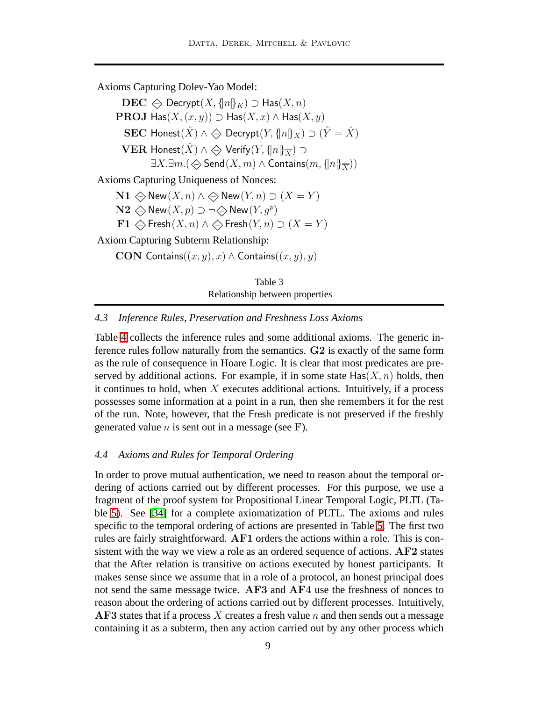Axioms Capturing Dolev-Yao Model:

 $\text{DEC} \Leftrightarrow \text{Decrypt}(X, \{n\}_K) \supset \text{Has}(X, n)$ **PROJ** Has $(X,(x, y))$  ⊃ Has $(X, x)$  ∧ Has $(X, y)$ SEC Honest $(\hat{X}) \wedge \Leftrightarrow$  Decrypt $(Y, \{|n\|_X) \supset (\hat{Y} = \hat{X})$ VER Honest $(\hat{X}) \wedge \Leftrightarrow$  Verify $(Y, \{n\}\overline{X}) \supset$  $\exists X.\exists m.(\Leftrightarrow \mathsf{Send}(X,m) \wedge \mathsf{contains}(m,\{|n|\}\overline{X}))$ Axioms Capturing Uniqueness of Nonces: N1  $\Leftrightarrow$  New  $(X, n) \land \Leftrightarrow$  New  $(Y, n)$  ⊃  $(X = Y)$  $\mathbf{N2} \Leftrightarrow \mathsf{New}(X, p) \supset \neg \Leftrightarrow \mathsf{New}(Y, g^p)$ **F1**  $\Leftrightarrow$  Fresh $(X, n) \land \Leftrightarrow$  Fresh $(Y, n)$  ⊃  $(X = Y)$ Axiom Capturing Subterm Relationship:

CON Contains $((x, y), x) \wedge$  Contains $((x, y), y)$ 

Table 3 Relationship between properties

## <span id="page-8-0"></span>*4.3 Inference Rules, Preservation and Freshness Loss Axioms*

Table [4](#page-9-0) collects the inference rules and some additional axioms. The generic inference rules follow naturally from the semantics. G2 is exactly of the same form as the rule of consequence in Hoare Logic. It is clear that most predicates are preserved by additional actions. For example, if in some state  $\text{Has}(X, n)$  holds, then it continues to hold, when  $X$  executes additional actions. Intuitively, if a process possesses some information at a point in a run, then she remembers it for the rest of the run. Note, however, that the Fresh predicate is not preserved if the freshly generated value  $n$  is sent out in a message (see F).

### *4.4 Axioms and Rules for Temporal Ordering*

In order to prove mutual authentication, we need to reason about the temporal ordering of actions carried out by different processes. For this purpose, we use a fragment of the proof system for Propositional Linear Temporal Logic, PLTL (Table [5\)](#page-10-0). See [\[34\]](#page-20-15) for a complete axiomatization of PLTL. The axioms and rules specific to the temporal ordering of actions are presented in Table [5.](#page-10-0) The first two rules are fairly straightforward. AF1 orders the actions within a role. This is consistent with the way we view a role as an ordered sequence of actions. AF2 states that the After relation is transitive on actions executed by honest participants. It makes sense since we assume that in a role of a protocol, an honest principal does not send the same message twice. AF3 and AF4 use the freshness of nonces to reason about the ordering of actions carried out by different processes. Intuitively,  $\overline{AF3}$  states that if a process X creates a fresh value n and then sends out a message containing it as a subterm, then any action carried out by any other process which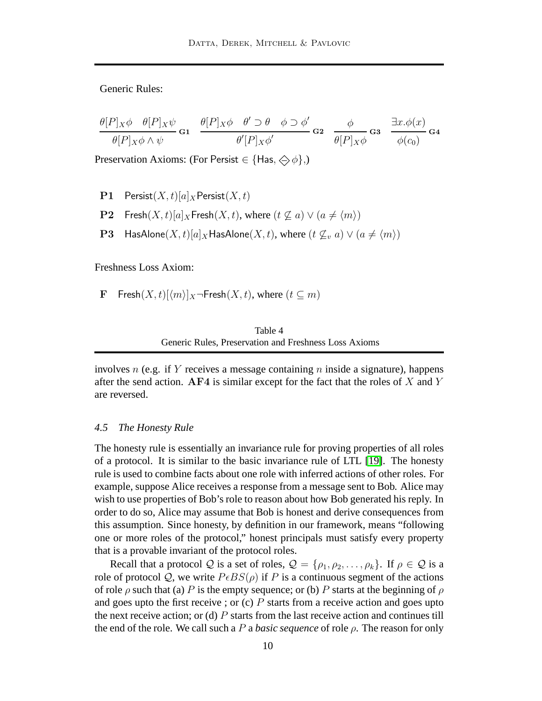Generic Rules:

$$
\frac{\theta[P]_X \phi \quad \theta[P]_X \psi}{\theta[P]_X \phi \land \psi} \mathbf{G1} \quad \frac{\theta[P]_X \phi \quad \theta' \supset \theta \quad \phi \supset \phi'}{\theta'[P]_X \phi'} \mathbf{G2} \quad \frac{\phi}{\theta[P]_X \phi} \mathbf{G3} \quad \frac{\exists x. \phi(x)}{\phi(c_0)} \mathbf{G4}
$$

Preservation Axioms: (For Persist  $\in \{\text{Has}, \diamondsuit \phi\},\$ )

- **P1** Persist $(X, t)[a]_X$  Persist $(X, t)$
- P2 Fresh $(X, t)[a]_X$  Fresh $(X, t)$ , where  $(t \not\subset a) \vee (a \neq \langle m \rangle)$
- **P3** HasAlone(X, t)[a]<sub>X</sub> HasAlone(X, t), where  $(t \nsubseteq v a) \vee (a \neq \langle m \rangle)$

Freshness Loss Axiom:

F Fresh $(X, t)[\langle m \rangle]_X$  ¬Fresh $(X, t)$ , where  $(t \subseteq m)$ 

Table 4 Generic Rules, Preservation and Freshness Loss Axioms

<span id="page-9-0"></span>involves n (e.g. if Y receives a message containing n inside a signature), happens after the send action. AF4 is similar except for the fact that the roles of  $X$  and  $Y$ are reversed.

#### *4.5 The Honesty Rule*

The honesty rule is essentially an invariance rule for proving properties of all roles of a protocol. It is similar to the basic invariance rule of LTL [\[19\]](#page-19-11). The honesty rule is used to combine facts about one role with inferred actions of other roles. For example, suppose Alice receives a response from a message sent to Bob. Alice may wish to use properties of Bob's role to reason about how Bob generated his reply. In order to do so, Alice may assume that Bob is honest and derive consequences from this assumption. Since honesty, by definition in our framework, means "following one or more roles of the protocol," honest principals must satisfy every property that is a provable invariant of the protocol roles.

Recall that a protocol Q is a set of roles,  $\mathcal{Q} = \{\rho_1, \rho_2, \dots, \rho_k\}$ . If  $\rho \in \mathcal{Q}$  is a role of protocol Q, we write  $P \epsilon BS(\rho)$  if P is a continuous segment of the actions of role  $\rho$  such that (a) P is the empty sequence; or (b) P starts at the beginning of  $\rho$ and goes upto the first receive ; or  $(c)$  P starts from a receive action and goes upto the next receive action; or (d)  $P$  starts from the last receive action and continues till the end of the role. We call such a  $P$  a *basic sequence* of role  $\rho$ . The reason for only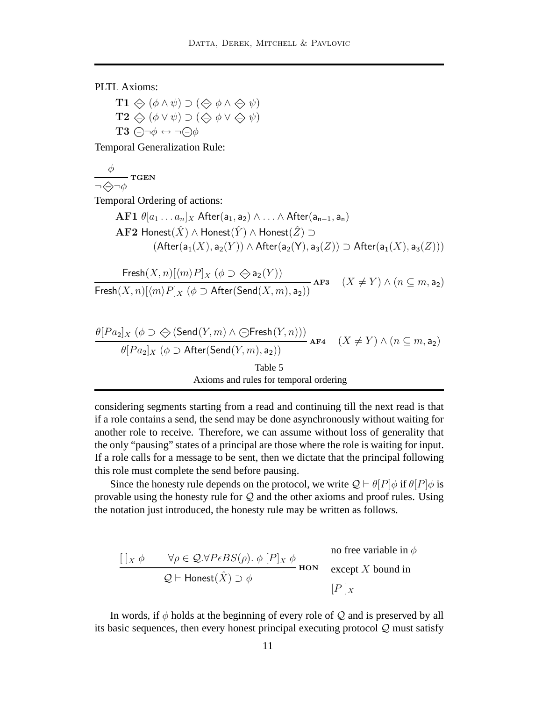PLTL Axioms:

 $\textbf{T1} \Leftrightarrow (\phi \land \psi) \supset (\Leftrightarrow \phi \land \Leftrightarrow \psi)$  $\mathbf{T2} \Leftrightarrow (\phi \vee \psi) \supset (\Leftrightarrow \phi \vee \Leftrightarrow \psi)$  $T3 \ominus \neg \phi \leftrightarrow \neg \ominus \phi$ 

Temporal Generalization Rule:

 $\phi$   $_{\rm TGEN}$  $\neg \diamondsuit \neg \phi$ 

Temporal Ordering of actions:

$$
\begin{aligned} \textbf{AF1} \,\, & \theta[a_1 \dots a_n]_X \,\, \text{After}(\mathsf{a_1}, \mathsf{a_2}) \wedge \dots \wedge \text{After}(\mathsf{a_{n-1}}, \mathsf{a_n}) \\ \textbf{AF2} \,\, \text{Honest}(\hat{X}) \wedge \text{Honest}(\hat{Y}) \wedge \text{Honest}(\hat{Z}) \supset \\ & \quad (\text{After}(\mathsf{a_1}(X), \mathsf{a_2}(Y)) \wedge \text{After}(\mathsf{a_2}(Y), \mathsf{a_3}(Z)) \supset \text{After}(\mathsf{a_1}(X), \mathsf{a_3}(Z))) \end{aligned}
$$

$$
\frac{\operatorname{Fresh}(X, n)[\langle m \rangle P]_X (\phi \supset \bigotimes \mathsf{a}_2(Y))}{\operatorname{Fresh}(X, n)[\langle m \rangle P]_X (\phi \supset \operatorname{After}(\operatorname{Send}(X, m), \mathsf{a}_2))} \text{AF3} \quad (X \neq Y) \land (n \subseteq m, \mathsf{a}_2)
$$

$$
\frac{\theta[Pa_2]_X (\phi \supset \bigotimes (\text{Send}(Y,m) \land \bigcirc \text{Fresh}(Y,n)))}{\theta[Pa_2]_X (\phi \supset \text{After}(\text{Send}(Y,m),a_2))}
$$
AF4  $(X \neq Y) \land (n \subseteq m, a_2)$   
Table 5  
Axioms and rules for temporal ordering

<span id="page-10-0"></span>considering segments starting from a read and continuing till the next read is that if a role contains a send, the send may be done asynchronously without waiting for another role to receive. Therefore, we can assume without loss of generality that the only "pausing" states of a principal are those where the role is waiting for input. If a role calls for a message to be sent, then we dictate that the principal following this role must complete the send before pausing.

Since the honesty rule depends on the protocol, we write  $Q \vdash \theta[P]\phi$  if  $\theta[P]\phi$  is provable using the honesty rule for  $Q$  and the other axioms and proof rules. Using the notation just introduced, the honesty rule may be written as follows.

$$
\frac{[\ ]_X \phi \qquad \forall \rho \in \mathcal{Q}.\forall P \in BS(\rho). \ \phi \ [P]_X \ \phi}{\mathcal{Q} \vdash \mathsf{Honest}(\hat{X}) \supset \phi} \text{ ~\bf{no ~free ~ variable in} ~\phi} \text{ ~\bf{except} ~\textit{$X$ bound in} } \begin{array}{c} \text{ no free variable in } \phi \\ \text{except } X \text{~bound in} \\ \text{[}P \ ]_X \end{array}
$$

In words, if  $\phi$  holds at the beginning of every role of  $Q$  and is preserved by all its basic sequences, then every honest principal executing protocol Q must satisfy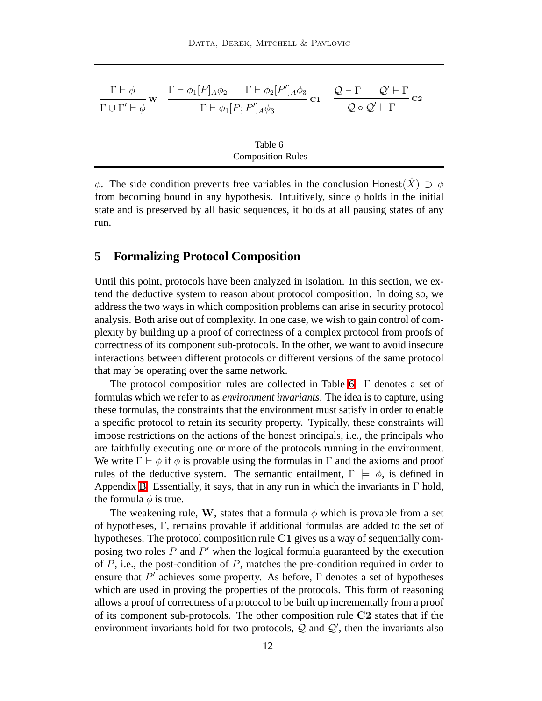| $\Gamma \vdash \phi$              | $\Gamma \vdash \phi_1[P]_A\phi_2 \qquad \Gamma \vdash \phi_2[P']_A\phi_3$ | $\mathcal{Q} \vdash \Gamma$ | $\mathcal{Q}' \vdash \Gamma$ |
|-----------------------------------|---------------------------------------------------------------------------|-----------------------------|------------------------------|
| $\Gamma \cup \Gamma' \vdash \phi$ | C1<br>$\Gamma \vdash \phi_1[P;P']_A\phi_3$                                |                             | $Q \circ Q' \vdash \Gamma$   |
|                                   |                                                                           |                             |                              |
|                                   | Table 6                                                                   |                             |                              |
|                                   | <b>Composition Rules</b>                                                  |                             |                              |

<span id="page-11-0"></span> $\phi$ . The side condition prevents free variables in the conclusion Honest(X)  $\supset \phi$ from becoming bound in any hypothesis. Intuitively, since  $\phi$  holds in the initial state and is preserved by all basic sequences, it holds at all pausing states of any run.

# <span id="page-11-1"></span>**5 Formalizing Protocol Composition**

Until this point, protocols have been analyzed in isolation. In this section, we extend the deductive system to reason about protocol composition. In doing so, we address the two ways in which composition problems can arise in security protocol analysis. Both arise out of complexity. In one case, we wish to gain control of complexity by building up a proof of correctness of a complex protocol from proofs of correctness of its component sub-protocols. In the other, we want to avoid insecure interactions between different protocols or different versions of the same protocol that may be operating over the same network.

The protocol composition rules are collected in Table [6.](#page-11-0) Γ denotes a set of formulas which we refer to as *environment invariants*. The idea is to capture, using these formulas, the constraints that the environment must satisfy in order to enable a specific protocol to retain its security property. Typically, these constraints will impose restrictions on the actions of the honest principals, i.e., the principals who are faithfully executing one or more of the protocols running in the environment. We write  $\Gamma \vdash \phi$  if  $\phi$  is provable using the formulas in  $\Gamma$  and the axioms and proof rules of the deductive system. The semantic entailment,  $\Gamma \models \phi$ , is defined in Appendix [B.](#page-24-0) Essentially, it says, that in any run in which the invariants in  $\Gamma$  hold, the formula  $\phi$  is true.

The weakening rule, W, states that a formula  $\phi$  which is provable from a set of hypotheses, Γ, remains provable if additional formulas are added to the set of hypotheses. The protocol composition rule C1 gives us a way of sequentially composing two roles  $P$  and  $P'$  when the logical formula guaranteed by the execution of  $P$ , i.e., the post-condition of  $P$ , matches the pre-condition required in order to ensure that  $P'$  achieves some property. As before,  $\Gamma$  denotes a set of hypotheses which are used in proving the properties of the protocols. This form of reasoning allows a proof of correctness of a protocol to be built up incrementally from a proof of its component sub-protocols. The other composition rule C2 states that if the environment invariants hold for two protocols,  $Q$  and  $Q'$ , then the invariants also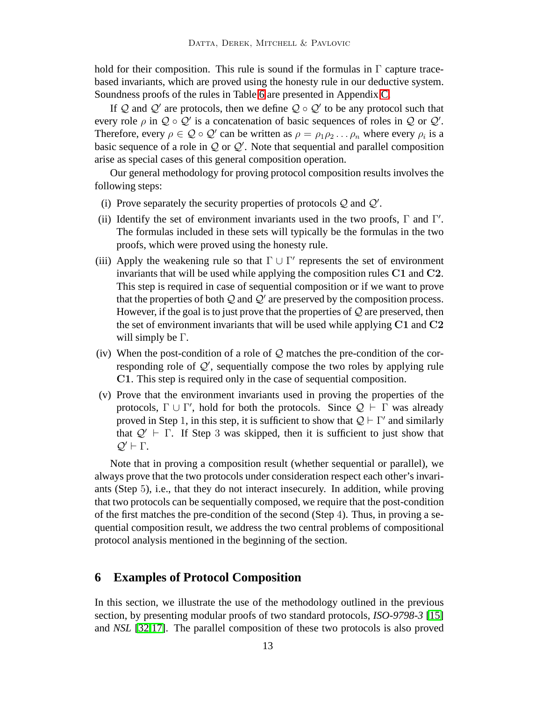hold for their composition. This rule is sound if the formulas in  $\Gamma$  capture tracebased invariants, which are proved using the honesty rule in our deductive system. Soundness proofs of the rules in Table [6](#page-11-0) are presented in Appendix [C.](#page-26-0)

If Q and Q' are protocols, then we define  $Q \circ Q'$  to be any protocol such that every role  $\rho$  in  $\mathcal{Q} \circ \mathcal{Q}'$  is a concatenation of basic sequences of roles in  $\mathcal{Q}$  or  $\mathcal{Q}'$ . Therefore, every  $\rho \in \mathcal{Q} \circ \mathcal{Q}'$  can be written as  $\rho = \rho_1 \rho_2 \dots \rho_n$  where every  $\rho_i$  is a basic sequence of a role in  $Q$  or  $Q'$ . Note that sequential and parallel composition arise as special cases of this general composition operation.

Our general methodology for proving protocol composition results involves the following steps:

- (i) Prove separately the security properties of protocols  $Q$  and  $Q'$ .
- (ii) Identify the set of environment invariants used in the two proofs,  $\Gamma$  and  $\Gamma'$ . The formulas included in these sets will typically be the formulas in the two proofs, which were proved using the honesty rule.
- (iii) Apply the weakening rule so that  $\Gamma \cup \Gamma'$  represents the set of environment invariants that will be used while applying the composition rules C1 and C2. This step is required in case of sequential composition or if we want to prove that the properties of both  $Q$  and  $Q'$  are preserved by the composition process. However, if the goal is to just prove that the properties of  $Q$  are preserved, then the set of environment invariants that will be used while applying C1 and C2 will simply be  $\Gamma$ .
- (iv) When the post-condition of a role of  $\mathcal Q$  matches the pre-condition of the corresponding role of  $Q'$ , sequentially compose the two roles by applying rule C1. This step is required only in the case of sequential composition.
- (v) Prove that the environment invariants used in proving the properties of the protocols,  $\Gamma \cup \Gamma'$ , hold for both the protocols. Since  $\mathcal{Q} \vdash \Gamma$  was already proved in Step 1, in this step, it is sufficient to show that  $\mathcal{Q} \vdash \Gamma'$  and similarly that  $Q' \vdash \Gamma$ . If Step 3 was skipped, then it is sufficient to just show that  $Q' \vdash \Gamma$ .

Note that in proving a composition result (whether sequential or parallel), we always prove that the two protocols under consideration respect each other's invariants (Step 5), i.e., that they do not interact insecurely. In addition, while proving that two protocols can be sequentially composed, we require that the post-condition of the first matches the pre-condition of the second (Step 4). Thus, in proving a sequential composition result, we address the two central problems of compositional protocol analysis mentioned in the beginning of the section.

# **6 Examples of Protocol Composition**

In this section, we illustrate the use of the methodology outlined in the previous section, by presenting modular proofs of two standard protocols, *ISO-9798-3* [\[15\]](#page-19-9) and *NSL* [\[32](#page-20-16)[,17\]](#page-19-13). The parallel composition of these two protocols is also proved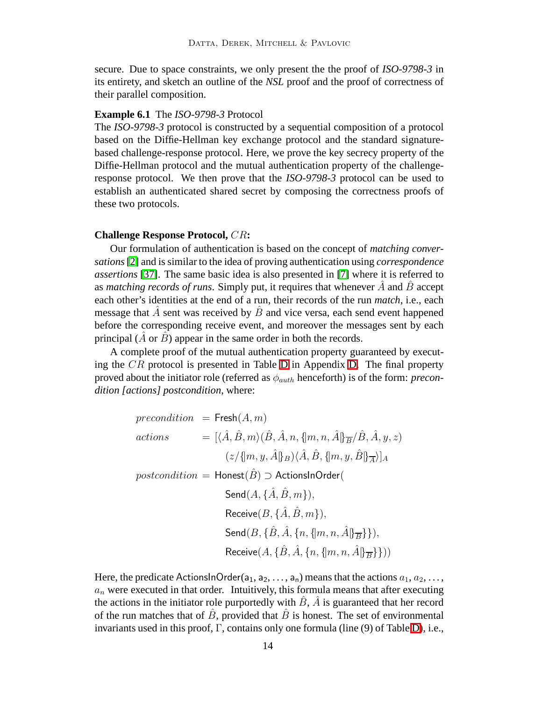secure. Due to space constraints, we only present the the proof of *ISO-9798-3* in its entirety, and sketch an outline of the *NSL* proof and the proof of correctness of their parallel composition.

## <span id="page-13-0"></span>**Example 6.1** The *ISO-9798-3* Protocol

The *ISO-9798-3* protocol is constructed by a sequential composition of a protocol based on the Diffie-Hellman key exchange protocol and the standard signaturebased challenge-response protocol. Here, we prove the key secrecy property of the Diffie-Hellman protocol and the mutual authentication property of the challengeresponse protocol. We then prove that the *ISO-9798-3* protocol can be used to establish an authenticated shared secret by composing the correctness proofs of these two protocols.

#### **Challenge Response Protocol,** CR**:**

Our formulation of authentication is based on the concept of *matching conversations*[\[2\]](#page-18-3) and is similar to the idea of proving authentication using *correspondence assertions* [\[37\]](#page-21-1). The same basic idea is also presented in [\[7\]](#page-19-10) where it is referred to as *matching records of runs*. Simply put, it requires that whenever  $\hat{A}$  and  $\hat{B}$  accept each other's identities at the end of a run, their records of the run *match*, i.e., each message that  $\hat{A}$  sent was received by  $\hat{B}$  and vice versa, each send event happened before the corresponding receive event, and moreover the messages sent by each principal  $(A \text{ or } B)$  appear in the same order in both the records.

A complete proof of the mutual authentication property guaranteed by executing the CR protocol is presented in Table [D](#page-27-0) in Appendix [D.](#page-27-0) The final property proved about the initiator role (referred as  $\phi_{auth}$  henceforth) is of the form: *precondition [actions] postcondition*, where:

$$
precondition = \text{Fresh}(A, m)
$$
\n
$$
actions = [\langle \hat{A}, \hat{B}, m \rangle (\hat{B}, \hat{A}, n, \{m, n, \hat{A}\} \overline{B}/\hat{B}, \hat{A}, y, z)
$$
\n
$$
(\frac{z}{\{\{m, y, \hat{A}\} \overline{B}}) \langle \hat{A}, \hat{B}, \{m, y, \hat{B}\} \overline{A} \rangle]_{A}
$$
\n
$$
postcondition = \text{Honest}(\hat{B}) \supset \text{ActionshOrder}(
$$
\n
$$
\text{Send}(A, \{\hat{A}, \hat{B}, m\}),
$$
\n
$$
\text{Receive}(B, \{\hat{A}, \hat{B}, m\}),
$$
\n
$$
\text{Send}(B, \{\hat{B}, \hat{A}, \{n, \{m, n, \hat{A}\} \overline{B}\}\}),
$$
\n
$$
\text{Receive}(A, \{\hat{B}, \hat{A}, \{n, \{m, n, \hat{A}\} \overline{B}\}\}))
$$

Here, the predicate ActionsInOrder( $a_1, a_2, \ldots, a_n$ ) means that the actions  $a_1, a_2, \ldots, a_n$  $a_n$  were executed in that order. Intuitively, this formula means that after executing the actions in the initiator role purportedly with  $\hat{B}$ ,  $\hat{A}$  is guaranteed that her record of the run matches that of  $\hat{B}$ , provided that  $\hat{B}$  is honest. The set of environmental invariants used in this proof,  $\Gamma$ , contains only one formula (line (9) of Table [D\)](#page-27-0), i.e.,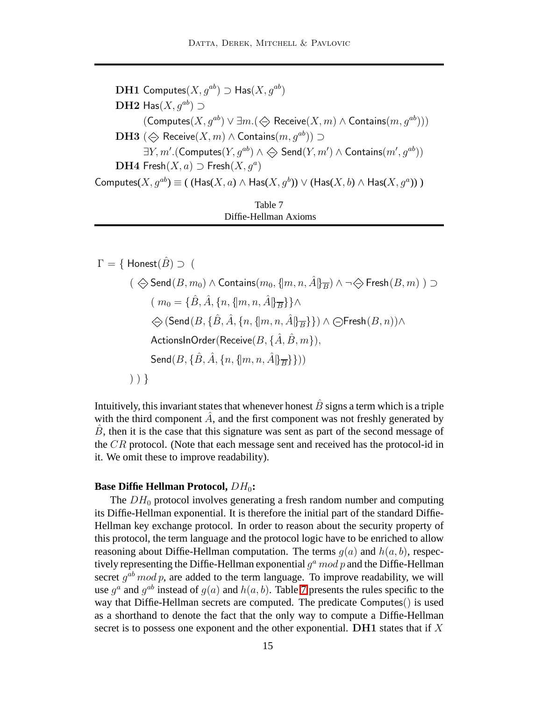DH1 Computes $(X, g^{ab}) \supset \text{Has}(X, g^{ab})$ DH2 Has( $X, a^{ab}$ ) ⊃  $(\mathsf{Computes}(X, g^{ab}) \lor \exists m. (\diamondsuit \mathsf{Receive}(X, m) \land \mathsf{contains}(m, g^{ab})))$ **DH3** ( $\Leftrightarrow$  Receive(*X*, *m*) ∧ Contains(*m*, *q*<sup>*ab*</sup>)) ⊃  $\exists Y, m'.({\sf Computers}(Y, g^{ab}) \wedge \Leftrightarrow {\sf Send}(Y, m') \wedge {\sf Contains}(m', g^{ab}))$ DH4 Fresh $(X, a) \supset$  Fresh $(X, g^a)$ Computes $(X,g^{ab}) \equiv ($   $(\mathsf{Has}(X,a) \land \mathsf{Has}(X,g^b)) \lor (\mathsf{Has}(X,b) \land \mathsf{Has}(X,g^a))$  ) Table 7

<span id="page-14-0"></span>

| Diffie-Hellman Axioms |  |
|-----------------------|--|

 $\Gamma = \{$  Honest $(\hat{B}) \supseteq ($  $($   $\Leftrightarrow$  Send $(B, m_0)$  ∧ Contains $(m_0, \{m, n, \hat{A}\}\overline{B})$  ∧ ¬ $\Leftrightarrow$  Fresh $(B, m)$ ) ⊃  $(m_0 = {\{\hat{B}, \hat{A}, \{n, \{m, n, \hat{A}\} \overline{B}\}\}}$  $\Diamond$  (Send(B, { $\hat{B}$ ,  $\hat{A}$ , {n, {|m, n,  $\hat{A}$ |} $_{\overline{B}}$ }})  $\land$   $\ominus$  Fresh( $B$ , n)) $\land$ ActionsInOrder(Receive( $B, \{\hat{A}, \hat{B}, m\}$ ), Send $(B, \{\hat{B}, \hat{A}, \{n, \{m, n, \hat{A}\}\}\})$ ) ) }

Intuitively, this invariant states that whenever honest  $\hat{B}$  signs a term which is a triple with the third component  $\ddot{A}$ , and the first component was not freshly generated by  $B$ , then it is the case that this signature was sent as part of the second message of the CR protocol. (Note that each message sent and received has the protocol-id in it. We omit these to improve readability).

## **Base Diffie Hellman Protocol,**  $DH_0$ :

The  $DH_0$  protocol involves generating a fresh random number and computing its Diffie-Hellman exponential. It is therefore the initial part of the standard Diffie-Hellman key exchange protocol. In order to reason about the security property of this protocol, the term language and the protocol logic have to be enriched to allow reasoning about Diffie-Hellman computation. The terms  $g(a)$  and  $h(a, b)$ , respectively representing the Diffie-Hellman exponential  $g^a \, mod \, p$  and the Diffie-Hellman secret  $g^{ab}$  mod p, are added to the term language. To improve readability, we will use  $g^a$  and  $g^{ab}$  instead of  $g(a)$  and  $h(a, b)$ . Table [7](#page-14-0) presents the rules specific to the way that Diffie-Hellman secrets are computed. The predicate Computes() is used as a shorthand to denote the fact that the only way to compute a Diffie-Hellman secret is to possess one exponent and the other exponential.  $\mathbf{D} \mathbf{H} \mathbf{1}$  states that if X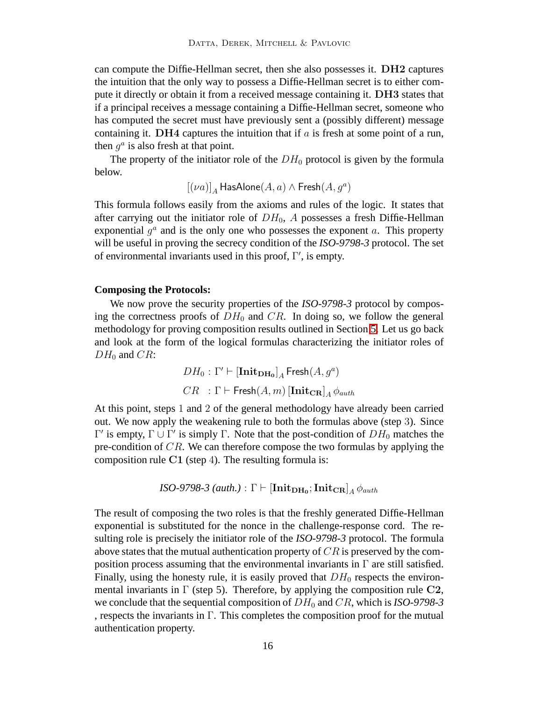can compute the Diffie-Hellman secret, then she also possesses it. DH2 captures the intuition that the only way to possess a Diffie-Hellman secret is to either compute it directly or obtain it from a received message containing it. DH3 states that if a principal receives a message containing a Diffie-Hellman secret, someone who has computed the secret must have previously sent a (possibly different) message containing it. DH4 captures the intuition that if  $a$  is fresh at some point of a run, then  $g^a$  is also fresh at that point.

The property of the initiator role of the  $DH_0$  protocol is given by the formula below.

 $[(\nu a)]_A$  HasAlone $(A,a)\wedge \mathsf{Fresh}(A,g^a)$ 

This formula follows easily from the axioms and rules of the logic. It states that after carrying out the initiator role of  $DH_0$ , A possesses a fresh Diffie-Hellman exponential  $g^a$  and is the only one who possesses the exponent  $a$ . This property will be useful in proving the secrecy condition of the *ISO-9798-3* protocol. The set of environmental invariants used in this proof, Γ ′ , is empty.

#### **Composing the Protocols:**

We now prove the security properties of the *ISO-9798-3* protocol by composing the correctness proofs of  $DH_0$  and  $CR$ . In doing so, we follow the general methodology for proving composition results outlined in Section [5.](#page-11-1) Let us go back and look at the form of the logical formulas characterizing the initiator roles of  $DH_0$  and  $CR$ :

$$
DH_0: \Gamma' \vdash [\mathbf{Init}_{\mathbf{DH}_0}]_A \mathsf{Fresh}(A, g^a)
$$
  

$$
CR \quad : \Gamma \vdash \mathsf{Fresh}(A, m) [\mathbf{Init}_{\mathbf{CR}}]_A \phi_{auth}
$$

At this point, steps 1 and 2 of the general methodology have already been carried out. We now apply the weakening rule to both the formulas above (step 3). Since  $Γ'$  is empty,  $Γ ∪ Γ'$  is simply Γ. Note that the post-condition of  $DH_0$  matches the pre-condition of CR. We can therefore compose the two formulas by applying the composition rule  $C1$  (step 4). The resulting formula is:

$$
ISO\text{-}9798\text{-}3\ (auth.) : \Gamma \vdash [\mathbf{Init}_{\mathbf{DH}_0}; \mathbf{Init}_{\mathbf{CR}}]_A \phi_{auth}
$$

The result of composing the two roles is that the freshly generated Diffie-Hellman exponential is substituted for the nonce in the challenge-response cord. The resulting role is precisely the initiator role of the *ISO-9798-3* protocol. The formula above states that the mutual authentication property of  $CR$  is preserved by the composition process assuming that the environmental invariants in  $\Gamma$  are still satisfied. Finally, using the honesty rule, it is easily proved that  $DH_0$  respects the environmental invariants in  $\Gamma$  (step 5). Therefore, by applying the composition rule C2, we conclude that the sequential composition of  $DH_0$  and  $CR$ , which is *ISO-9798-3* , respects the invariants in  $\Gamma$ . This completes the composition proof for the mutual authentication property.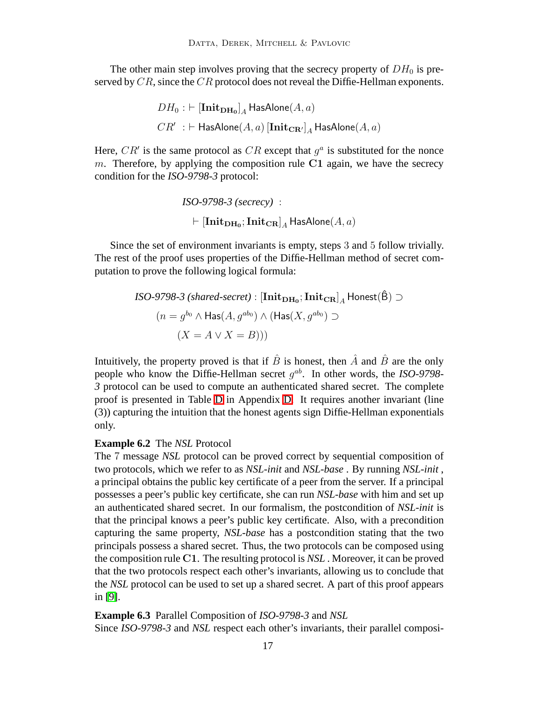The other main step involves proving that the secrecy property of  $DH_0$  is preserved by CR, since the CR protocol does not reveal the Diffie-Hellman exponents.

$$
\begin{aligned} DH_0:&\vdash [{\mathbf{Init}}_{\mathbf{DH}_0}]_A\operatorname{\mathsf{HasAlone}}(A,a)\\ CR'&\;\vdash {\mathsf{HasAlone}}(A,a)\left[{\mathbf{Init}}_{\mathbf{CR}'}\right]_A\operatorname{\mathsf{HasAlone}}(A,a)\end{aligned}
$$

Here,  $CR'$  is the same protocol as  $CR$  except that  $g<sup>a</sup>$  is substituted for the nonce m. Therefore, by applying the composition rule C1 again, we have the secrecy condition for the *ISO-9798-3* protocol:

$$
ISO\text{-}9798\text{-}3~(secrecy) : \\ \vdash [\mathbf{Init}_{\mathbf{DH_0}}; \mathbf{Init}_{\mathbf{CR}}]_A \mathsf{HasAlone}(A, a)
$$

Since the set of environment invariants is empty, steps 3 and 5 follow trivially. The rest of the proof uses properties of the Diffie-Hellman method of secret computation to prove the following logical formula:

$$
ISO\text{-}9798\text{-}3 \text{ (shared-secret)}: [\text{Init}_{\text{DH}_0}; \text{Init}_{\text{CR}}]_A \text{ Honest}(\hat{B}) \supset
$$

$$
(n = g^{b_0} \land \text{Has}(A, g^{ab_0}) \land (\text{Has}(X, g^{ab_0}) \supset
$$

$$
(X = A \lor X = B)))
$$

Intuitively, the property proved is that if  $\hat{B}$  is honest, then  $\hat{A}$  and  $\hat{B}$  are the only people who know the Diffie-Hellman secret  $g^{ab}$ . In other words, the *ISO-9798*-*3* protocol can be used to compute an authenticated shared secret. The complete proof is presented in Table [D](#page-27-0) in Appendix [D.](#page-27-0) It requires another invariant (line (3)) capturing the intuition that the honest agents sign Diffie-Hellman exponentials only.

#### <span id="page-16-0"></span>**Example 6.2** The *NSL* Protocol

The 7 message *NSL* protocol can be proved correct by sequential composition of two protocols, which we refer to as *NSL-init* and *NSL-base* . By running *NSL-init* , a principal obtains the public key certificate of a peer from the server. If a principal possesses a peer's public key certificate, she can run *NSL-base* with him and set up an authenticated shared secret. In our formalism, the postcondition of *NSL-init* is that the principal knows a peer's public key certificate. Also, with a precondition capturing the same property, *NSL-base* has a postcondition stating that the two principals possess a shared secret. Thus, the two protocols can be composed using the composition rule C1. The resulting protocol is *NSL* . Moreover, it can be proved that the two protocols respect each other's invariants, allowing us to conclude that the *NSL* protocol can be used to set up a shared secret. A part of this proof appears in [\[9\]](#page-19-8).

<span id="page-16-1"></span>**Example 6.3** Parallel Composition of *ISO-9798-3* and *NSL* Since *ISO-9798-3* and *NSL* respect each other's invariants, their parallel composi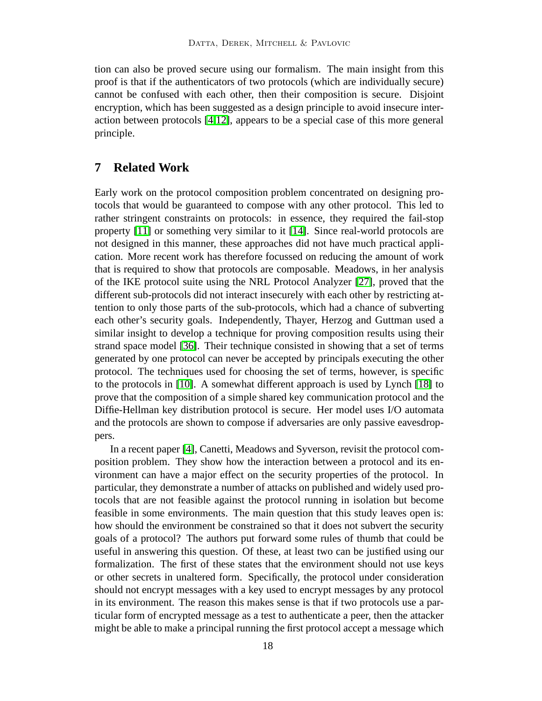tion can also be proved secure using our formalism. The main insight from this proof is that if the authenticators of two protocols (which are individually secure) cannot be confused with each other, then their composition is secure. Disjoint encryption, which has been suggested as a design principle to avoid insecure interaction between protocols [\[4,](#page-18-0)[12\]](#page-19-5), appears to be a special case of this more general principle.

# **7 Related Work**

Early work on the protocol composition problem concentrated on designing protocols that would be guaranteed to compose with any other protocol. This led to rather stringent constraints on protocols: in essence, they required the fail-stop property [\[11\]](#page-19-4) or something very similar to it [\[14\]](#page-19-6). Since real-world protocols are not designed in this manner, these approaches did not have much practical application. More recent work has therefore focussed on reducing the amount of work that is required to show that protocols are composable. Meadows, in her analysis of the IKE protocol suite using the NRL Protocol Analyzer [\[27\]](#page-20-6), proved that the different sub-protocols did not interact insecurely with each other by restricting attention to only those parts of the sub-protocols, which had a chance of subverting each other's security goals. Independently, Thayer, Herzog and Guttman used a similar insight to develop a technique for proving composition results using their strand space model [\[36\]](#page-20-7). Their technique consisted in showing that a set of terms generated by one protocol can never be accepted by principals executing the other protocol. The techniques used for choosing the set of terms, however, is specific to the protocols in [\[10\]](#page-19-14). A somewhat different approach is used by Lynch [\[18\]](#page-19-7) to prove that the composition of a simple shared key communication protocol and the Diffie-Hellman key distribution protocol is secure. Her model uses I/O automata and the protocols are shown to compose if adversaries are only passive eavesdroppers.

In a recent paper [\[4\]](#page-18-0), Canetti, Meadows and Syverson, revisit the protocol composition problem. They show how the interaction between a protocol and its environment can have a major effect on the security properties of the protocol. In particular, they demonstrate a number of attacks on published and widely used protocols that are not feasible against the protocol running in isolation but become feasible in some environments. The main question that this study leaves open is: how should the environment be constrained so that it does not subvert the security goals of a protocol? The authors put forward some rules of thumb that could be useful in answering this question. Of these, at least two can be justified using our formalization. The first of these states that the environment should not use keys or other secrets in unaltered form. Specifically, the protocol under consideration should not encrypt messages with a key used to encrypt messages by any protocol in its environment. The reason this makes sense is that if two protocols use a particular form of encrypted message as a test to authenticate a peer, then the attacker might be able to make a principal running the first protocol accept a message which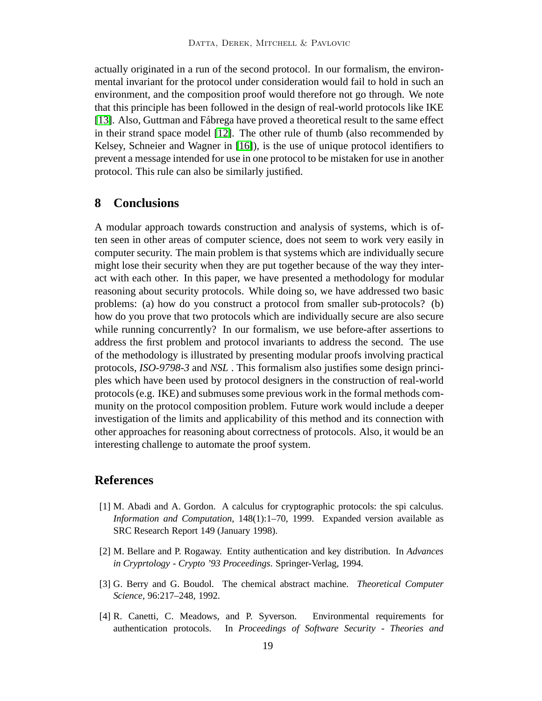actually originated in a run of the second protocol. In our formalism, the environmental invariant for the protocol under consideration would fail to hold in such an environment, and the composition proof would therefore not go through. We note that this principle has been followed in the design of real-world protocols like IKE [\[13\]](#page-19-2). Also, Guttman and Fábrega have proved a theoretical result to the same effect in their strand space model [\[12\]](#page-19-5). The other rule of thumb (also recommended by Kelsey, Schneier and Wagner in [\[16\]](#page-19-0)), is the use of unique protocol identifiers to prevent a message intended for use in one protocol to be mistaken for use in another protocol. This rule can also be similarly justified.

# **8 Conclusions**

A modular approach towards construction and analysis of systems, which is often seen in other areas of computer science, does not seem to work very easily in computer security. The main problem is that systems which are individually secure might lose their security when they are put together because of the way they interact with each other. In this paper, we have presented a methodology for modular reasoning about security protocols. While doing so, we have addressed two basic problems: (a) how do you construct a protocol from smaller sub-protocols? (b) how do you prove that two protocols which are individually secure are also secure while running concurrently? In our formalism, we use before-after assertions to address the first problem and protocol invariants to address the second. The use of the methodology is illustrated by presenting modular proofs involving practical protocols, *ISO-9798-3* and *NSL* . This formalism also justifies some design principles which have been used by protocol designers in the construction of real-world protocols (e.g. IKE) and submuses some previous work in the formal methods community on the protocol composition problem. Future work would include a deeper investigation of the limits and applicability of this method and its connection with other approaches for reasoning about correctness of protocols. Also, it would be an interesting challenge to automate the proof system.

# <span id="page-18-1"></span>**References**

- [1] M. Abadi and A. Gordon. A calculus for cryptographic protocols: the spi calculus. *Information and Computation*, 148(1):1–70, 1999. Expanded version available as SRC Research Report 149 (January 1998).
- <span id="page-18-3"></span>[2] M. Bellare and P. Rogaway. Entity authentication and key distribution. In *Advances in Cryprtology - Crypto '93 Proceedings*. Springer-Verlag, 1994.
- <span id="page-18-2"></span>[3] G. Berry and G. Boudol. The chemical abstract machine. *Theoretical Computer Science*, 96:217–248, 1992.
- <span id="page-18-0"></span>[4] R. Canetti, C. Meadows, and P. Syverson. Environmental requirements for authentication protocols. In *Proceedings of Software Security - Theories and*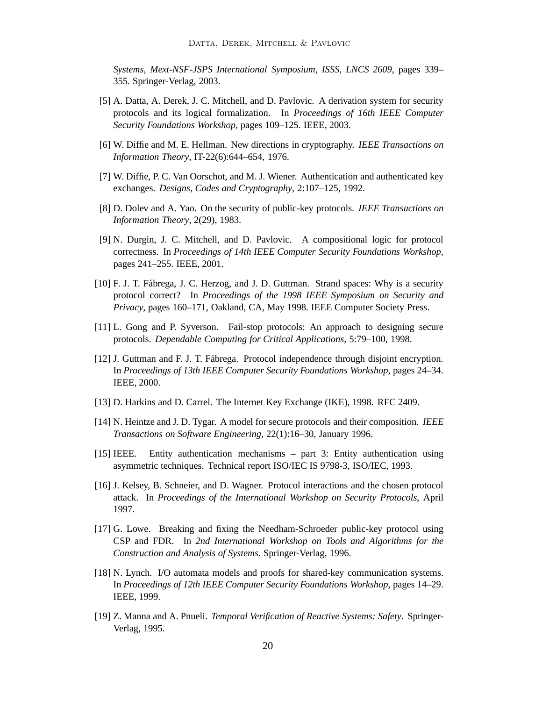*Systems, Mext-NSF-JSPS International Symposium, ISSS, LNCS 2609*, pages 339– 355. Springer-Verlag, 2003.

- <span id="page-19-1"></span>[5] A. Datta, A. Derek, J. C. Mitchell, and D. Pavlovic. A derivation system for security protocols and its logical formalization. In *Proceedings of 16th IEEE Computer Security Foundations Workshop*, pages 109–125. IEEE, 2003.
- <span id="page-19-10"></span><span id="page-19-3"></span>[6] W. Diffie and M. E. Hellman. New directions in cryptography. *IEEE Transactions on Information Theory*, IT-22(6):644–654, 1976.
- <span id="page-19-12"></span>[7] W. Diffie, P. C. Van Oorschot, and M. J. Wiener. Authentication and authenticated key exchanges. *Designs, Codes and Cryptography*, 2:107–125, 1992.
- <span id="page-19-8"></span>[8] D. Dolev and A. Yao. On the security of public-key protocols. *IEEE Transactions on Information Theory*, 2(29), 1983.
- [9] N. Durgin, J. C. Mitchell, and D. Pavlovic. A compositional logic for protocol correctness. In *Proceedings of 14th IEEE Computer Security Foundations Workshop*, pages 241–255. IEEE, 2001.
- <span id="page-19-14"></span>[10] F. J. T. Fábrega, J. C. Herzog, and J. D. Guttman. Strand spaces: Why is a security protocol correct? In *Proceedings of the 1998 IEEE Symposium on Security and Privacy*, pages 160–171, Oakland, CA, May 1998. IEEE Computer Society Press.
- <span id="page-19-5"></span><span id="page-19-4"></span>[11] L. Gong and P. Syverson. Fail-stop protocols: An approach to designing secure protocols. *Dependable Computing for Critical Applications*, 5:79–100, 1998.
- [12] J. Guttman and F. J. T. Fábrega. Protocol independence through disjoint encryption. In *Proceedings of 13th IEEE Computer Security Foundations Workshop*, pages 24–34. IEEE, 2000.
- <span id="page-19-6"></span><span id="page-19-2"></span>[13] D. Harkins and D. Carrel. The Internet Key Exchange (IKE), 1998. RFC 2409.
- [14] N. Heintze and J. D. Tygar. A model for secure protocols and their composition. *IEEE Transactions on Software Engineering*, 22(1):16–30, January 1996.
- <span id="page-19-9"></span>[15] IEEE. Entity authentication mechanisms – part 3: Entity authentication using asymmetric techniques. Technical report ISO/IEC IS 9798-3, ISO/IEC, 1993.
- <span id="page-19-0"></span>[16] J. Kelsey, B. Schneier, and D. Wagner. Protocol interactions and the chosen protocol attack. In *Proceedings of the International Workshop on Security Protocols*, April 1997.
- <span id="page-19-13"></span>[17] G. Lowe. Breaking and fixing the Needham-Schroeder public-key protocol using CSP and FDR. In *2nd International Workshop on Tools and Algorithms for the Construction and Analysis of Systems*. Springer-Verlag, 1996.
- <span id="page-19-7"></span>[18] N. Lynch. I/O automata models and proofs for shared-key communication systems. In *Proceedings of 12th IEEE Computer Security Foundations Workshop*, pages 14–29. IEEE, 1999.
- <span id="page-19-11"></span>[19] Z. Manna and A. Pnueli. *Temporal Verification of Reactive Systems: Safety*. Springer-Verlag, 1995.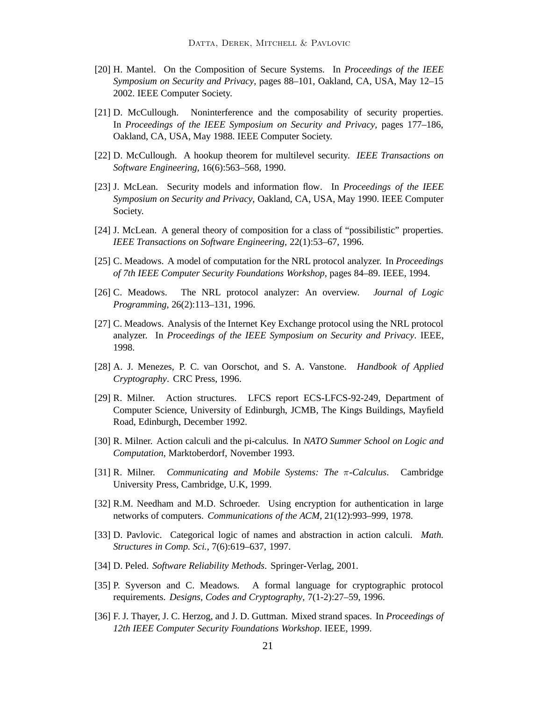- <span id="page-20-0"></span>[20] H. Mantel. On the Composition of Secure Systems. In *Proceedings of the IEEE Symposium on Security and Privacy*, pages 88–101, Oakland, CA, USA, May 12–15 2002. IEEE Computer Society.
- <span id="page-20-1"></span>[21] D. McCullough. Noninterference and the composability of security properties. In *Proceedings of the IEEE Symposium on Security and Privacy*, pages 177–186, Oakland, CA, USA, May 1988. IEEE Computer Society.
- <span id="page-20-3"></span><span id="page-20-2"></span>[22] D. McCullough. A hookup theorem for multilevel security. *IEEE Transactions on Software Engineering*, 16(6):563–568, 1990.
- [23] J. McLean. Security models and information flow. In *Proceedings of the IEEE Symposium on Security and Privacy*, Oakland, CA, USA, May 1990. IEEE Computer Society.
- <span id="page-20-13"></span><span id="page-20-4"></span>[24] J. McLean. A general theory of composition for a class of "possibilistic" properties. *IEEE Transactions on Software Engineering*, 22(1):53–67, 1996.
- <span id="page-20-14"></span>[25] C. Meadows. A model of computation for the NRL protocol analyzer. In *Proceedings of 7th IEEE Computer Security Foundations Workshop*, pages 84–89. IEEE, 1994.
- <span id="page-20-6"></span>[26] C. Meadows. The NRL protocol analyzer: An overview. *Journal of Logic Programming*, 26(2):113–131, 1996.
- [27] C. Meadows. Analysis of the Internet Key Exchange protocol using the NRL protocol analyzer. In *Proceedings of the IEEE Symposium on Security and Privacy*. IEEE, 1998.
- <span id="page-20-5"></span>[28] A. J. Menezes, P. C. van Oorschot, and S. A. Vanstone. *Handbook of Applied Cryptography*. CRC Press, 1996.
- <span id="page-20-8"></span>[29] R. Milner. Action structures. LFCS report ECS-LFCS-92-249, Department of Computer Science, University of Edinburgh, JCMB, The Kings Buildings, Mayfield Road, Edinburgh, December 1992.
- <span id="page-20-9"></span>[30] R. Milner. Action calculi and the pi-calculus. In *NATO Summer School on Logic and Computation*, Marktoberdorf, November 1993.
- <span id="page-20-16"></span><span id="page-20-11"></span>[31] R. Milner. *Communicating and Mobile Systems: The* π*-Calculus*. Cambridge University Press, Cambridge, U.K, 1999.
- <span id="page-20-10"></span>[32] R.M. Needham and M.D. Schroeder. Using encryption for authentication in large networks of computers. *Communications of the ACM*, 21(12):993–999, 1978.
- [33] D. Pavlovic. Categorical logic of names and abstraction in action calculi. *Math. Structures in Comp. Sci.*, 7(6):619–637, 1997.
- <span id="page-20-15"></span><span id="page-20-12"></span>[34] D. Peled. *Software Reliability Methods*. Springer-Verlag, 2001.
- [35] P. Syverson and C. Meadows. A formal language for cryptographic protocol requirements. *Designs, Codes and Cryptography*, 7(1-2):27–59, 1996.
- <span id="page-20-7"></span>[36] F. J. Thayer, J. C. Herzog, and J. D. Guttman. Mixed strand spaces. In *Proceedings of 12th IEEE Computer Security Foundations Workshop*. IEEE, 1999.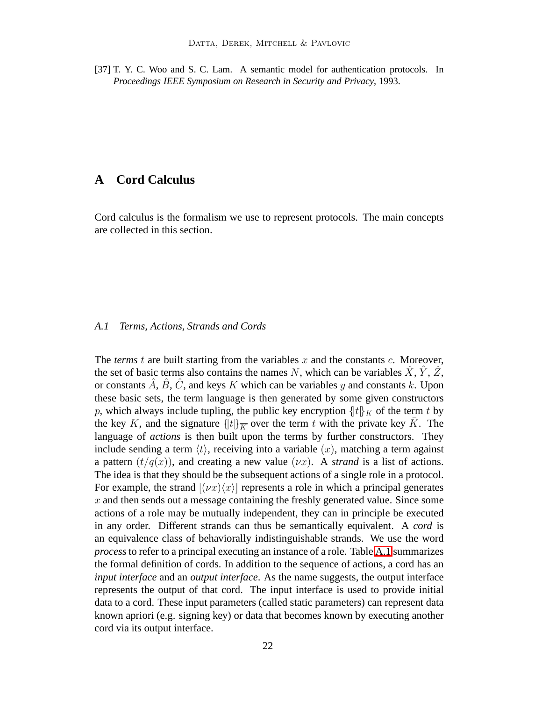<span id="page-21-1"></span>[37] T. Y. C. Woo and S. C. Lam. A semantic model for authentication protocols. In *Proceedings IEEE Symposium on Research in Security and Privacy*, 1993.

# <span id="page-21-0"></span>**A Cord Calculus**

Cord calculus is the formalism we use to represent protocols. The main concepts are collected in this section.

## <span id="page-21-2"></span>*A.1 Terms, Actions, Strands and Cords*

The *terms*  $t$  are built starting from the variables  $x$  and the constants  $c$ . Moreover, the set of basic terms also contains the names N, which can be variables  $\ddot{X}$ ,  $\ddot{Y}$ ,  $\ddot{Z}$ , or constants  $\hat{A}$ ,  $\hat{B}$ ,  $\hat{C}$ , and keys K which can be variables y and constants k. Upon these basic sets, the term language is then generated by some given constructors p, which always include tupling, the public key encryption  $\{t\}_K$  of the term t by the key K, and the signature  $\{ |t| \ge \infty \}$  over the term t with the private key  $\overline{K}$ . The language of *actions* is then built upon the terms by further constructors. They include sending a term  $\langle t \rangle$ , receiving into a variable  $(x)$ , matching a term against a pattern  $(t/q(x))$ , and creating a new value  $(\nu x)$ . A *strand* is a list of actions. The idea is that they should be the subsequent actions of a single role in a protocol. For example, the strand  $[(\nu x)/x]$  represents a role in which a principal generates x and then sends out a message containing the freshly generated value. Since some actions of a role may be mutually independent, they can in principle be executed in any order. Different strands can thus be semantically equivalent. A *cord* is an equivalence class of behaviorally indistinguishable strands. We use the word *process*to refer to a principal executing an instance of a role. Table [A.1](#page-21-2) summarizes the formal definition of cords. In addition to the sequence of actions, a cord has an *input interface* and an *output interface*. As the name suggests, the output interface represents the output of that cord. The input interface is used to provide initial data to a cord. These input parameters (called static parameters) can represent data known apriori (e.g. signing key) or data that becomes known by executing another cord via its output interface.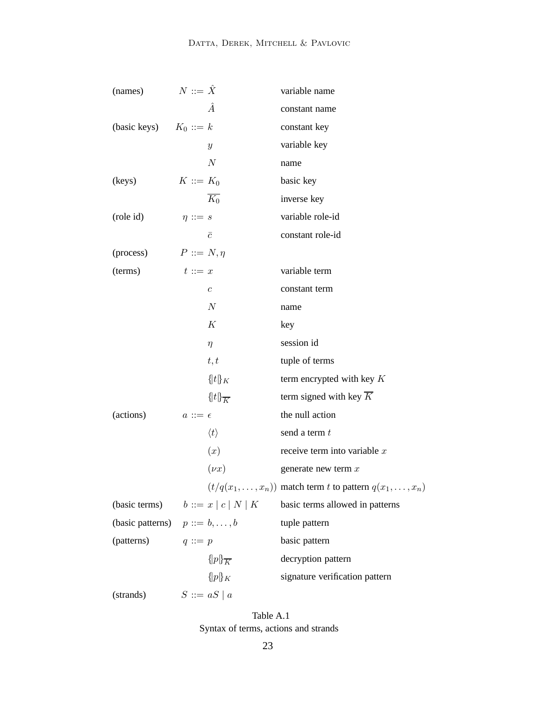| (names)                               | $N ::= \hat{X}$  |                        | variable name                                           |
|---------------------------------------|------------------|------------------------|---------------------------------------------------------|
|                                       |                  | Â                      | constant name                                           |
| (basic keys) $K_0 ::= k$              |                  |                        | constant key                                            |
|                                       |                  | $\boldsymbol{y}$       | variable key                                            |
|                                       |                  | $\boldsymbol{N}$       | name                                                    |
| (keys)                                | $K ::= K_0$      |                        | basic key                                               |
|                                       |                  | $K_0$                  | inverse key                                             |
| (role id)                             | $\eta ::= s$     |                        | variable role-id                                        |
|                                       |                  | $\bar{c}$              | constant role-id                                        |
| (process)                             | $P ::= N, \eta$  |                        |                                                         |
| (terms)                               | $t ::= x$        |                        | variable term                                           |
|                                       |                  | $\boldsymbol{c}$       | constant term                                           |
|                                       |                  | $\cal N$               | name                                                    |
|                                       |                  | K                      | key                                                     |
|                                       |                  | $\eta$                 | session id                                              |
|                                       |                  | t, t                   | tuple of terms                                          |
|                                       |                  | $\{t\}_K$              | term encrypted with key $K$                             |
|                                       |                  | $\{t\}_{\overline{K}}$ | term signed with key $\overline{K}$                     |
| (actions)                             | $a ::= \epsilon$ |                        | the null action                                         |
|                                       |                  | $\langle t \rangle$    | send a term t                                           |
|                                       |                  | (x)                    | receive term into variable $x$                          |
|                                       |                  | $(\nu x)$              | generate new term $x$                                   |
|                                       |                  |                        | $(t/q(x_1,,x_n))$ match term t to pattern $q(x_1,,x_n)$ |
| (basic terms) $b ::= x   c   N   K$   |                  |                        | basic terms allowed in patterns                         |
| (basic patterns) $p ::= b, \ldots, b$ |                  |                        | tuple pattern                                           |
| (patterns)                            | $q ::= p$        |                        | basic pattern                                           |
|                                       |                  | $\{p\}_{\overline{K}}$ | decryption pattern                                      |
|                                       |                  | $\{ \! \{ p \} _K$     | signature verification pattern                          |
| (strands)                             |                  | $S ::= aS \mid a$      |                                                         |

Table A.1 Syntax of terms, actions and strands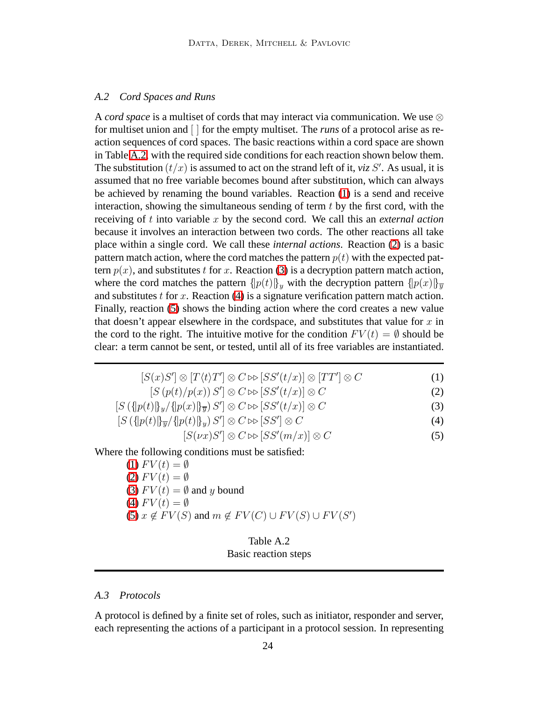#### <span id="page-23-0"></span>*A.2 Cord Spaces and Runs*

A *cord space* is a multiset of cords that may interact via communication. We use ⊗ for multiset union and [ ] for the empty multiset. The *runs* of a protocol arise as reaction sequences of cord spaces. The basic reactions within a cord space are shown in Table [A.2,](#page-23-0) with the required side conditions for each reaction shown below them. The substitution  $(t/x)$  is assumed to act on the strand left of it, *viz* S'. As usual, it is assumed that no free variable becomes bound after substitution, which can always be achieved by renaming the bound variables. Reaction [\(1\)](#page-23-0) is a send and receive interaction, showing the simultaneous sending of term  $t$  by the first cord, with the receiving of t into variable x by the second cord. We call this an *external action* because it involves an interaction between two cords. The other reactions all take place within a single cord. We call these *internal actions*. Reaction [\(2\)](#page-23-0) is a basic pattern match action, where the cord matches the pattern  $p(t)$  with the expected pattern  $p(x)$ , and substitutes t for x. Reaction [\(3\)](#page-23-0) is a decryption pattern match action, where the cord matches the pattern  $\{p(t)\}_y$  with the decryption pattern  $\{p(x)\}_y$ and substitutes t for x. Reaction  $(4)$  is a signature verification pattern match action. Finally, reaction [\(5\)](#page-23-0) shows the binding action where the cord creates a new value that doesn't appear elsewhere in the cordspace, and substitutes that value for  $x$  in the cord to the right. The intuitive motive for the condition  $FV(t) = \emptyset$  should be clear: a term cannot be sent, or tested, until all of its free variables are instantiated.

$$
[S(x)S'] \otimes [T(t)T'] \otimes C \rhd [SS'(t/x)] \otimes [TT'] \otimes C \tag{1}
$$

$$
[S(p(t)/p(x)) S'] \otimes C \rhd [SS'(t/x)] \otimes C \tag{2}
$$

$$
[S(\lbrace p(t) \rbrace_y / \lbrace p(x) \rbrace_y) S'] \otimes C \rhd [SS'(t/x)] \otimes C \tag{3}
$$

$$
[S\left(\left\{p(t)\right\}\overline{y}/\left\{p(t)\right\}_y) S'] \otimes C \bowtie [SS'] \otimes C \tag{4}
$$

$$
[S(\nu x)S'] \otimes C \rhd [SS'(m/x)] \otimes C \tag{5}
$$

Where the following conditions must be satisfied:

 $(1) FV(t) = \emptyset$  $(1) FV(t) = \emptyset$ [\(2\)](#page-23-0)  $FV(t) = \emptyset$ [\(3\)](#page-23-0)  $FV(t) = \emptyset$  and y bound [\(4\)](#page-23-0)  $FV(t) = \emptyset$ [\(5\)](#page-23-0)  $x \notin FV(S)$  and  $m \notin FV(C) \cup FV(S) \cup FV(S')$ 

# Table A.2 Basic reaction steps

# *A.3 Protocols*

A protocol is defined by a finite set of roles, such as initiator, responder and server, each representing the actions of a participant in a protocol session. In representing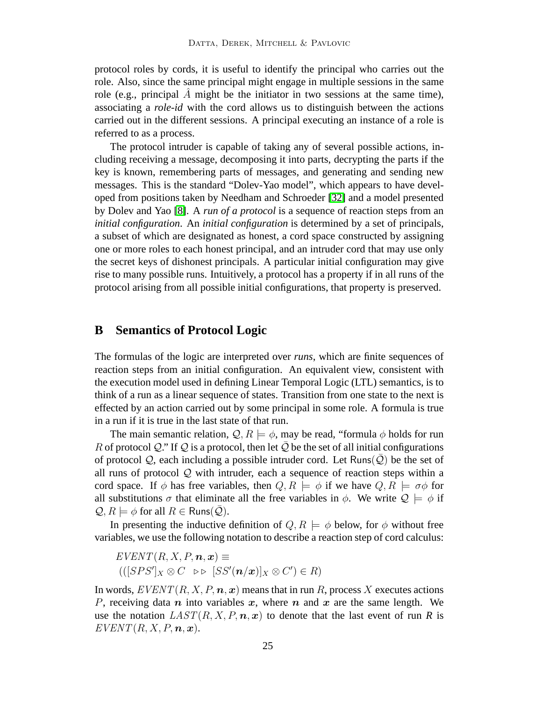protocol roles by cords, it is useful to identify the principal who carries out the role. Also, since the same principal might engage in multiple sessions in the same role (e.g., principal  $\tilde{A}$  might be the initiator in two sessions at the same time), associating a *role-id* with the cord allows us to distinguish between the actions carried out in the different sessions. A principal executing an instance of a role is referred to as a process.

The protocol intruder is capable of taking any of several possible actions, including receiving a message, decomposing it into parts, decrypting the parts if the key is known, remembering parts of messages, and generating and sending new messages. This is the standard "Dolev-Yao model", which appears to have developed from positions taken by Needham and Schroeder [\[32\]](#page-20-16) and a model presented by Dolev and Yao [\[8\]](#page-19-12). A *run of a protocol* is a sequence of reaction steps from an *initial configuration*. An *initial configuration* is determined by a set of principals, a subset of which are designated as honest, a cord space constructed by assigning one or more roles to each honest principal, and an intruder cord that may use only the secret keys of dishonest principals. A particular initial configuration may give rise to many possible runs. Intuitively, a protocol has a property if in all runs of the protocol arising from all possible initial configurations, that property is preserved.

## <span id="page-24-0"></span>**B Semantics of Protocol Logic**

The formulas of the logic are interpreted over *runs*, which are finite sequences of reaction steps from an initial configuration. An equivalent view, consistent with the execution model used in defining Linear Temporal Logic (LTL) semantics, is to think of a run as a linear sequence of states. Transition from one state to the next is effected by an action carried out by some principal in some role. A formula is true in a run if it is true in the last state of that run.

The main semantic relation,  $\mathcal{Q}, R \models \phi$ , may be read, "formula  $\phi$  holds for run R of protocol Q." If Q is a protocol, then let  $\overline{Q}$  be the set of all initial configurations of protocol  $Q$ , each including a possible intruder cord. Let Runs( $\overline{Q}$ ) be the set of all runs of protocol  $Q$  with intruder, each a sequence of reaction steps within a cord space. If  $\phi$  has free variables, then  $Q, R \models \phi$  if we have  $Q, R \models \sigma \phi$  for all substitutions  $\sigma$  that eliminate all the free variables in  $\phi$ . We write  $\mathcal{Q} \models \phi$  if  $\mathcal{Q}, R \models \phi$  for all  $R \in \text{Runs}(\mathcal{Q})$ .

In presenting the inductive definition of  $Q, R \models \phi$  below, for  $\phi$  without free variables, we use the following notation to describe a reaction step of cord calculus:

 $EVENT(R, X, P, n, x) \equiv$  $(([SPS']_X \otimes C \Rightarrow \triangleright [SS'(\boldsymbol{n}/\boldsymbol{x})]_X \otimes C') \in R)$ 

In words,  $EVENT(R, X, P, n, x)$  means that in run R, process X executes actions P, receiving data n into variables x, where n and x are the same length. We use the notation  $LAST(R, X, P, n, x)$  to denote that the last event of run R is  $EVENT(R, X, P, n, x).$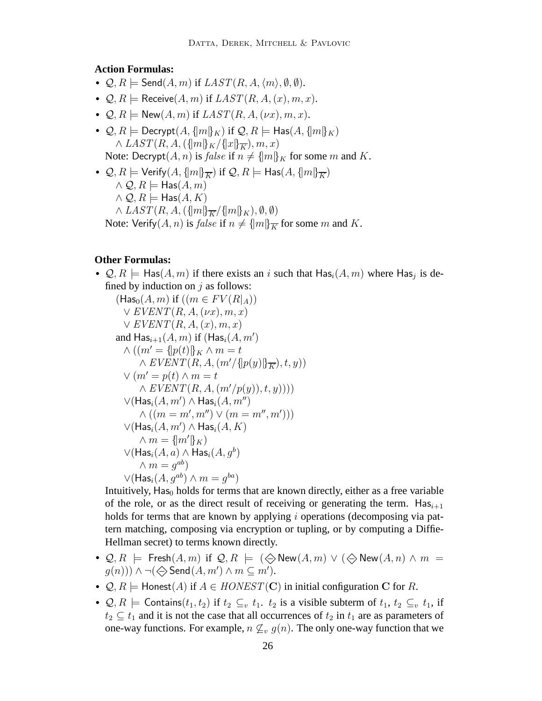## **Action Formulas:**

- $Q, R \models \mathsf{Send}(A,m)$  if  $LIST(R, A, \langle m \rangle, \emptyset, \emptyset)$ .
- $Q, R \models$  Receive $(A, m)$  if  $LAST(R, A, (x), m, x)$ .
- $Q, R \models \mathsf{New}(A, m)$  if  $LAST(R, A, (\nu x), m, x)$ .
- $\mathcal{Q}, R \models \mathsf{Decrypt}(A, \{m\}_K)$  if  $\mathcal{Q}, R \models \mathsf{Has}(A, \{m\}_K)$  $\wedge$  LAST $(R, A, (\{m\}_K/\{x\}_K), m, x)$ Note: Decrypt $(A, n)$  is *false* if  $n \neq {\{m\}}_K$  for some m and K.
- $\mathcal{Q}, R \models$  Verify $(A, \{m\}_{\overline{K}})$  if  $\mathcal{Q}, R \models$  Has $(A, \{m\}_{\overline{K}})$  $\wedge \mathcal{Q}, R \models$  Has $(A, m)$  $\wedge \mathcal{Q}, R \models$  Has $(A, K)$  $\wedge$  LAST(R, A,  $(\{m\}_{\overline{K}}/\{m\}_{K}), \emptyset, \emptyset)$ Note: Verify $(A, n)$  is *false* if  $n \neq \{m\}$ <sub>K</sub> for some m and K.

## **Other Formulas:**

•  $\mathcal{Q}, R \models$  Has $(A, m)$  if there exists an i such that  $\textsf{Has}_i(A, m)$  where  $\textsf{Has}_j$  is defined by induction on  $j$  as follows:

$$
(\text{Has}_0(A, m) \text{ if } ((m \in FV(R|_A))
$$
  
\n
$$
\vee \text{EVENT}(R, A, (\nu x), m, x)
$$
  
\n
$$
\vee \text{EVENT}(R, A, (x), m, x)
$$
  
\nand 
$$
\text{Has}_{i+1}(A, m) \text{ if } (\text{Has}_i(A, m')
$$
  
\n
$$
\wedge ((m' = \{p(t)\}_{K} \wedge m = t \wedge \text{EVENT}(R, A, (m'/\{p(y)\}_{\overline{K}}), t, y))
$$
  
\n
$$
\vee (m' = p(t) \wedge m = t \wedge \text{EVENT}(R, A, (m'/p(y)), t, y))))
$$
  
\n
$$
\vee (\text{Has}_i(A, m') \wedge \text{Has}_i(A, m'')
$$
  
\n
$$
\wedge ((m = m', m'') \vee (m = m'', m')))
$$
  
\n
$$
\vee (\text{Has}_i(A, m') \wedge \text{Has}_i(A, K)
$$
  
\n
$$
\wedge m = \{m'\}_{K}
$$
  
\n
$$
\vee (\text{Has}_i(A, a) \wedge \text{Has}_i(A, g^b)
$$
  
\n
$$
\wedge m = g^{ab}
$$
  
\n
$$
\vee (\text{Has}_i(A, g^{ab}) \wedge m = g^{ba})
$$
  
\n
$$
\wedge \dots \wedge m = g^{ba}
$$

Intuitively,  $Has<sub>0</sub>$  holds for terms that are known directly, either as a free variable of the role, or as the direct result of receiving or generating the term.  $Has_{i+1}$ holds for terms that are known by applying *i* operations (decomposing via pattern matching, composing via encryption or tupling, or by computing a Diffie-Hellman secret) to terms known directly.

- $\mathcal{Q}, R \models$  Fresh $(A, m)$  if  $\mathcal{Q}, R \models (\diamondsuit)$  New $(A, m) \vee (\diamondsuit)$  New $(A, n) \wedge m =$  $g(n))$ )  $\wedge \neg (\Leftrightarrow$  Send $(A, m') \wedge m \subseteq m'$ ).
- $Q, R \models$  Honest(A) if  $A \in HONEST(\mathbf{C})$  in initial configuration C for R.
- $Q, R \models$  Contains $(t_1, t_2)$  if  $t_2 \subseteq_v t_1$ .  $t_2$  is a visible subterm of  $t_1, t_2 \subseteq_v t_1$ , if  $t_2 \subseteq t_1$  and it is not the case that all occurrences of  $t_2$  in  $t_1$  are as parameters of one-way functions. For example,  $n \nsubseteq_v g(n)$ . The only one-way function that we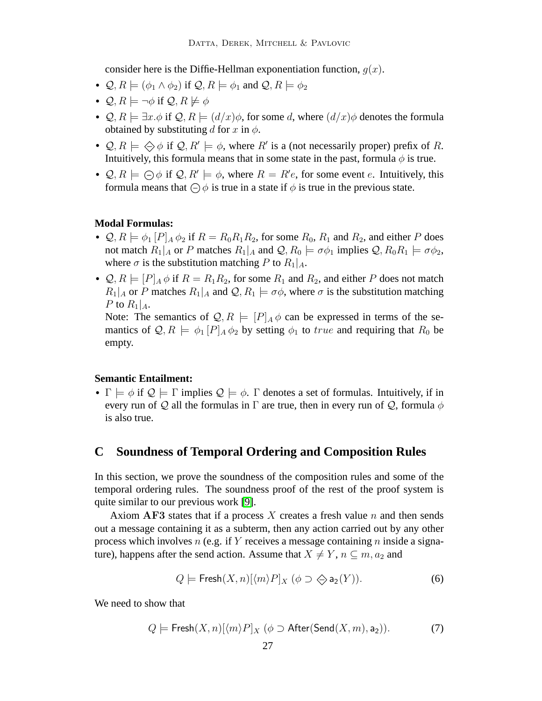consider here is the Diffie-Hellman exponentiation function,  $q(x)$ .

- $\mathcal{Q}, R \models (\phi_1 \land \phi_2)$  if  $\mathcal{Q}, R \models \phi_1$  and  $\mathcal{Q}, R \models \phi_2$
- $Q, R \models \neg \phi$  if  $Q, R \not\models \phi$
- Q,  $R \models \exists x.\phi$  if  $Q, R \models (d/x)\phi$ , for some d, where  $(d/x)\phi$  denotes the formula obtained by substituting d for x in  $\phi$ .
- $\mathcal{Q}, R \models \diamondsuit \phi$  if  $\mathcal{Q}, R' \models \phi$ , where R' is a (not necessarily proper) prefix of R. Intuitively, this formula means that in some state in the past, formula  $\phi$  is true.
- $\mathcal{Q}, R \models \bigoplus \phi$  if  $\mathcal{Q}, R' \models \phi$ , where  $R = R'e$ , for some event e. Intuitively, this formula means that  $\bigcirc$   $\phi$  is true in a state if  $\phi$  is true in the previous state.

#### **Modal Formulas:**

- $\mathcal{Q}, R \models \phi_1[P]_A \phi_2$  if  $R = R_0R_1R_2$ , for some  $R_0, R_1$  and  $R_2$ , and either P does not match  $R_1|_A$  or P matches  $R_1|_A$  and  $\mathcal{Q}, R_0 \models \sigma \phi_1$  implies  $\mathcal{Q}, R_0 R_1 \models \sigma \phi_2$ , where  $\sigma$  is the substitution matching P to  $R_1|_A$ .
- $\mathcal{Q}, R \models [P]_A \phi$  if  $R = R_1 R_2$ , for some  $R_1$  and  $R_2$ , and either P does not match  $R_1|_A$  or P matches  $R_1|_A$  and  $\mathcal{Q}, R_1 \models \sigma \phi$ , where  $\sigma$  is the substitution matching P to  $R_1|_A$ .

Note: The semantics of  $\mathcal{Q}, R \models [P]_A \phi$  can be expressed in terms of the semantics of  $\mathcal{Q}, R \models \phi_1[P]_A \phi_2$  by setting  $\phi_1$  to true and requiring that  $R_0$  be empty.

## **Semantic Entailment:**

•  $\Gamma \models \phi$  if  $\mathcal{Q} \models \Gamma$  implies  $\mathcal{Q} \models \phi$ .  $\Gamma$  denotes a set of formulas. Intuitively, if in every run of Q all the formulas in  $\Gamma$  are true, then in every run of Q, formula  $\phi$ is also true.

# <span id="page-26-0"></span>**C Soundness of Temporal Ordering and Composition Rules**

In this section, we prove the soundness of the composition rules and some of the temporal ordering rules. The soundness proof of the rest of the proof system is quite similar to our previous work [\[9\]](#page-19-8).

Axiom AF3 states that if a process X creates a fresh value  $n$  and then sends out a message containing it as a subterm, then any action carried out by any other process which involves n (e.g. if Y receives a message containing n inside a signature), happens after the send action. Assume that  $X \neq Y$ ,  $n \subseteq m$ ,  $a_2$  and

<span id="page-26-1"></span>
$$
Q \models \mathsf{Fresh}(X, n) [\langle m \rangle P]_X \, (\phi \supset \bigotimes \mathsf{a}_2(Y)). \tag{6}
$$

We need to show that

$$
Q \models \mathsf{Fresh}(X, n)[\langle m \rangle P]_X \ (\phi \supset \mathsf{After}(\mathsf{Send}(X, m), \mathsf{a}_2)). \tag{7}
$$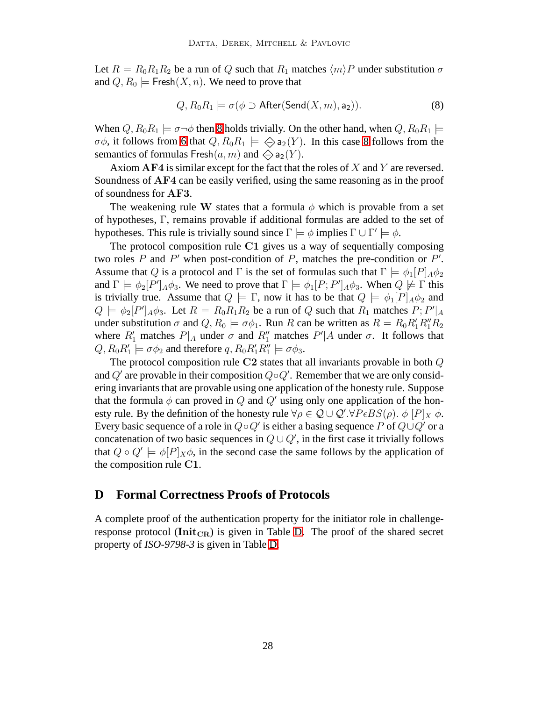Let  $R = R_0R_1R_2$  be a run of Q such that  $R_1$  matches  $\langle m \rangle P$  under substitution  $\sigma$ and  $Q, R_0 \models$  Fresh $(X, n)$ . We need to prove that

<span id="page-27-1"></span>
$$
Q, R_0 R_1 \models \sigma(\phi \supset \text{After}(\text{Send}(X, m), a_2)). \tag{8}
$$

When  $Q, R_0R_1 \models \sigma \neg \phi$  then [8](#page-27-1) holds trivially. On the other hand, when  $Q, R_0R_1 \models$  $\sigma\phi$ , it follows from [6](#page-26-1) that  $Q, R_0R_1 \models \diamondsuit a_2(Y)$ . In this case [8](#page-27-1) follows from the semantics of formulas Fresh $(a, m)$  and  $\Leftrightarrow$  a<sub>2</sub> $(Y)$ .

Axiom  $AF4$  is similar except for the fact that the roles of  $X$  and  $Y$  are reversed. Soundness of AF4 can be easily verified, using the same reasoning as in the proof of soundness for AF3.

The weakening rule W states that a formula  $\phi$  which is provable from a set of hypotheses, Γ, remains provable if additional formulas are added to the set of hypotheses. This rule is trivially sound since  $\Gamma \models \phi$  implies  $\Gamma \cup \Gamma' \models \phi$ .

The protocol composition rule  $C1$  gives us a way of sequentially composing two roles  $P$  and  $P'$  when post-condition of  $P$ , matches the pre-condition or  $P'$ . Assume that Q is a protocol and Γ is the set of formulas such that  $\Gamma \models \phi_1[P]_A \phi_2$ and  $\Gamma \models \phi_2[P']_A\phi_3$ . We need to prove that  $\Gamma \models \phi_1[P;P']_A\phi_3$ . When  $Q \not\models \Gamma$  this is trivially true. Assume that  $Q \models \Gamma$ , now it has to be that  $Q \models \phi_1[P]_A \phi_2$  and  $Q \models \phi_2[P']_A \phi_3$ . Let  $R = R_0 R_1 R_2$  be a run of Q such that  $R_1$  matches  $P; P'|_A$ under substitution  $\sigma$  and  $Q, R_0 \models \sigma \phi_1$ . Run R can be written as  $R = R_0 R_1 R_1'' R_2$ where  $R'_1$  matches  $P|_A$  under  $\sigma$  and  $R''_1$  matches  $P'|A$  under  $\sigma$ . It follows that  $Q, R_0 R'_1 \models \sigma \phi_2$  and therefore  $q, R_0 R'_1 R''_1 \models \sigma \phi_3$ .

The protocol composition rule C2 states that all invariants provable in both Q and  $Q'$  are provable in their composition  $Q \circ Q'$ . Remember that we are only considering invariants that are provable using one application of the honesty rule. Suppose that the formula  $\phi$  can proved in Q and Q' using only one application of the honesty rule. By the definition of the honesty rule  $\forall \rho \in \mathcal{Q} \cup \mathcal{Q}' . \forall P \epsilon BS(\rho) . \; \phi [P]_X \; \phi.$ Every basic sequence of a role in  $Q \circ Q'$  is either a basing sequence P of  $Q \cup Q'$  or a concatenation of two basic sequences in  $Q \cup Q'$ , in the first case it trivially follows that  $Q \circ Q' \models \phi[P] \times \phi$ , in the second case the same follows by the application of the composition rule C1.

## <span id="page-27-0"></span>**D Formal Correctness Proofs of Protocols**

A complete proof of the authentication property for the initiator role in challengeresponse protocol ( $Init_{CR}$ ) is given in Table [D.](#page-27-0) The proof of the shared secret property of *ISO-9798-3* is given in Table [D.](#page-27-0)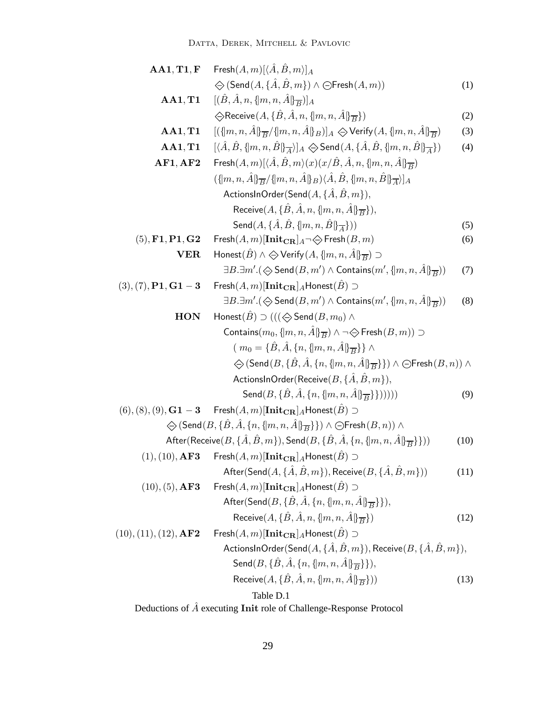DATTA, DEREK, MITCHELL & PAVLOVIC

| AA1, T1, F                                   | $\mathsf{Fresh}(A,m)[\langle A,B,m\rangle]_A$                                                                                                       |      |
|----------------------------------------------|-----------------------------------------------------------------------------------------------------------------------------------------------------|------|
|                                              | $\Leftrightarrow$ (Send $(A, \{ \hat{A}, \hat{B}, m \}) \wedge \bigoplus$ Fresh $(A, m))$                                                           | (1)  |
| AA1, T1                                      | $[(\hat{B}, \hat{A}, n, \{m, n, \hat{A}\}\overline{B})]_A$                                                                                          |      |
|                                              | $\Diamond$ Receive $(A, \{\hat{B}, \hat{A}, n, \{m, n, \hat{A}\}\overline{B}\})$                                                                    | (2)  |
| AA1, T1                                      | $[(\{m, n, \hat{A}\}_{\overline{B}}/\{m, n, \hat{A}\}_{B})]_A \diamondsuit$ Verify $(A, \{m, n, \hat{A}\}_{\overline{B}})$                          | (3)  |
| AA1, T1                                      | $[\langle \hat{A}, \hat{B}, \{ m,n,\hat{B} \} \overline{A}\rangle]_A \diamondsuit$ Send $(A, \{\hat{A}, \hat{B}, \{ m,n,\hat{B} \} \overline{A}\})$ | (4)  |
| AF1, AF2                                     | Fresh $(A,m)[\langle \hat{A}, \hat{B}, m \rangle (x)(x/\hat{B}, \hat{A}, n, \{m, n, \hat{A}\}_ {\overline{B}}]$                                     |      |
|                                              | $(\{m,n,\hat{A}\}\overline{B}/\{m,n,\hat{A}\}\overline{B})\langle\hat{A},\hat{B},\{m,n,\hat{B}\}\overline{A}\rangle\}_A$                            |      |
|                                              | ActionsInOrder(Send(A, { $\hat{A}$ , $\hat{B}$ , $m$ }),                                                                                            |      |
|                                              | Receive $(A, \{\hat{B}, \hat{A}, n, \{m, n, \hat{A}\}\overline{B}\}),$                                                                              |      |
|                                              | Send $(A, \{\hat{A}, \hat{B}, \{m, n, \hat{B}\}\}\$                                                                                                 | (5)  |
| $(5), \mathbf{F1}, \mathbf{P1}, \mathbf{G2}$ | $\mathsf{Fresh}(A,m)[\mathbf{Init}_{\mathbf{CR}}]_A \rightarrow \diamondsuit \mathsf{Fresh}(B,m)$                                                   | (6)  |
| ${\bf VER}$                                  | Honest $(\hat{B}) \wedge \Leftrightarrow$ Verify $(A, \{m, n, \hat{A}\}\overline{B}) \supset$                                                       |      |
|                                              | $\exists B.\exists m'.(\diamondsuit \mathsf{Send}(B,m') \land \mathsf{contains}(m',\{m,n,\hat{A}\}\overline{B}))$                                   | (7)  |
| $(3), (7), P1, G1-3$                         | $\mathsf{Fresh}(A,m)[\mathbf{Init_{CR}}]_A\mathsf{Honest}(\hat{B}) \supset$                                                                         |      |
|                                              | $\exists B.\exists m'.(\diamondsuit \mathsf{Send}(B,m') \land \mathsf{contains}(m',\{ \mid m,n, \hat{A} \mid\mathcal{B} \}))$                       | (8)  |
| <b>HON</b>                                   | Honest $(\hat{B}) \supset ((\bigotimes \mathsf{Send}(B,m_0) \wedge$                                                                                 |      |
|                                              | Contains $(m_0, \{m, n, \hat{A}\}_\overline{B}) \wedge \neg \diamondsuit$ Fresh $(B, m)$ ) $\supset$                                                |      |
|                                              | $(m_0 = {\hat{B}, \hat{A}, \{n, \{m, n, \hat{A}\} \over \epsilon R}) \wedge$                                                                        |      |
|                                              | $\diamondsuit$ (Send $(B, \{\hat{B}, \hat{A}, \{n, \{m, n, \hat{A}\}\}\overline{B}}\}) \wedge \ominus$ Fresh $(B, n)) \wedge$                       |      |
|                                              | ActionsInOrder(Receive $(B, \{\hat{A}, \hat{B}, m\}),$                                                                                              |      |
|                                              | Send $(B, {\{\hat{B}, \hat{A}, \{n, \{m, n, \hat{A}\} \overline{\overline{B}}\}\})$ ))))                                                            | (9)  |
| $(6), (8), (9), {\bf G1-3}$                  | $\mathsf{Fresh}(A,m)[\mathbf{Init_{CR}}]_A$ Honest $(\hat{B}) \supset$                                                                              |      |
|                                              | $\bigotimes(\mathsf{Send}(B, \{\hat{B}, \hat{A}, \{n, \{m, n, \hat{A}\} \overline{B}\}\}) \land \ominus \mathsf{Fresh}(B, n)) \land$                |      |
|                                              | After(Receive $(B, \{ \hat{A}, \hat{B}, m \})$ , Send $(B, \{ \hat{B}, \hat{A}, \{ n, \{ m, n, \hat{A} \} \overline{B} \})$ )                       | (10) |
| (1), (10), <b>AF3</b>                        | $\mathsf{Fresh}(A,m)[\mathbf{Init_{CR}}]_A\mathsf{Honest}(\hat{B}) \supset$                                                                         |      |
|                                              | After $(\mathsf{Send}(A, \{\hat{A}, \hat{B}, m\}),$ Receive $(B, \{\hat{A}, \hat{B}, m\}))$                                                         | (11) |
| (10), (5), <b>AF3</b>                        | $\mathsf{Fresh}(A,m)[\mathbf{Init}_{\mathbf{CR}}]_A$ Honest $(\hat{B}) \supset$                                                                     |      |
|                                              | After(Send( $B, \{\hat{B}, \hat{A}, \{n, \{m, n, \hat{A}\} \overline{B} \}\}\)$ ,                                                                   |      |
|                                              | Receive $(A, \{\hat{B}, \hat{A}, n, \{m, n, \hat{A}\}\overline{B}\})$                                                                               | (12) |
| (10), (11), (12), AF2                        | $\mathsf{Fresh}(A,m)[\mathbf{Init_{CR}}]_A\mathsf{Honest}(\hat{B}) \supset$                                                                         |      |
|                                              | ActionsInOrder(Send( $A, \{\hat{A}, \hat{B}, m\}$ ), Receive( $B, \{\hat{A}, \hat{B}, m\}$ ),                                                       |      |
|                                              | Send $(B, {\{\hat{B}, \hat{A}, \{n, \{m, n, \hat{A}\}\overline{B}\}\}}),$                                                                           |      |
|                                              | Receive $(A, \{\hat{B}, \hat{A}, n, \{m, n, \hat{A}\}\overline{B}\}))$                                                                              | (13) |
|                                              | Table D.1                                                                                                                                           |      |
|                                              |                                                                                                                                                     |      |

Deductions of  $\hat{A}$  executing Init role of Challenge-Response Protocol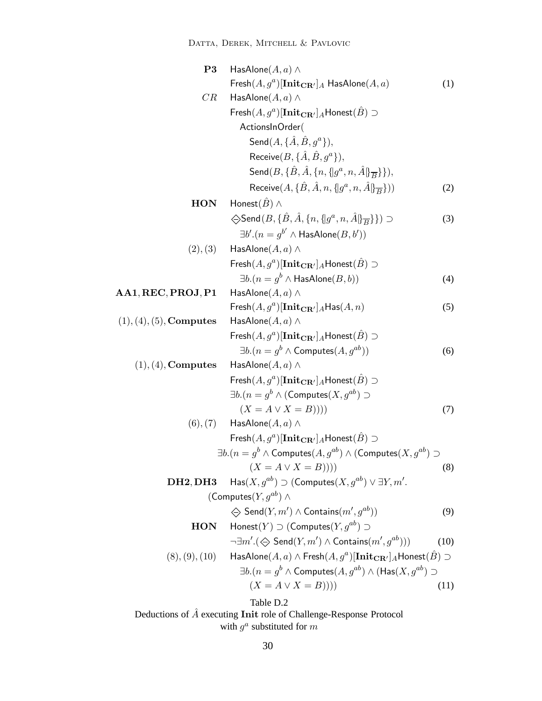DATTA, DEREK, MITCHELL & PAVLOVIC

| P <sub>3</sub>                    | HasAlone $(A, a) \wedge$                                                                                              |      |
|-----------------------------------|-----------------------------------------------------------------------------------------------------------------------|------|
|                                   | Fresh $(A, g^a)$ [Init $_{\mathbf{CR}'}]_A$ HasAlone $(A, a)$                                                         | (1)  |
| CR                                | HasAlone $(A, a) \wedge$                                                                                              |      |
|                                   | Fresh $(A, g^a)$ [Init $_{\mathbf{CR}'}$ ] <sub>A</sub> Honest $(B)$ $\supset$                                        |      |
|                                   | ActionsInOrder(                                                                                                       |      |
|                                   | Send $(A, \{ \hat{A}, \hat{B}, g^a \})$ ,                                                                             |      |
|                                   | Receive $(B, \{ \hat{A}, \hat{B}, q^a \})$ ,                                                                          |      |
|                                   | Send $(B, \{\hat{B}, \hat{A}, \{n, \{q^a, n, \hat{A}\}\}\overline{B}}\}),$                                            |      |
|                                   | Receive $(A, \{\hat{B}, \hat{A}, n, \{[g^a, n, \hat{A}]\} \overline{B}}))$                                            | (2)  |
| <b>HON</b>                        | Honest $(\hat{B}) \wedge$                                                                                             |      |
|                                   | $\Diamond$ Send $(B, \{\hat{B}, \hat{A}, \{n, \{g^a, n, \hat{A}\}\}\})$                                               | (3)  |
|                                   | $\exists b'.(n = g^{b'} \wedge HasAlone(B, b'))$                                                                      |      |
| (2), (3)                          | HasAlone $(A, a) \wedge$                                                                                              |      |
|                                   | Fresh $(A, g^a)$ [Init $_{\mathbf{CR}'}$ ] <sub>A</sub> Honest $(\hat{B})$ $\supset$                                  |      |
|                                   | $\exists b. (n = g^b \wedge \textsf{HasAlone}(B, b))$                                                                 | (4)  |
| AA1, REC, PROJ, P1                | HasAlone $(A, a) \wedge$                                                                                              |      |
|                                   | $\mathsf{Fresh}(A, g^a)[\mathbf{Init}_{\mathbf{CR}'}]_A\mathsf{Has}(A, n)$                                            | (5)  |
| $(1), (4), (5),$ Computes         | HasAlone $(A,a) \wedge$                                                                                               |      |
|                                   | Fresh $(A, g^a)$ [Init $_{\mathbf{CR}'}$ ] <sub>A</sub> Honest $(B)$ $\supset$                                        |      |
|                                   | $\exists b.(n = g^b \wedge \text{Computes}(A, g^{ab}))$                                                               | (6)  |
| $(1), (4),$ Computes              | HasAlone $(A,a) \wedge$                                                                                               |      |
|                                   | Fresh $(A, g^a)$ [Init $_{\mathbf{CR}'}$ ] <sub>A</sub> Honest $(\hat{B})$ $\supset$                                  |      |
|                                   | $\exists b. (n = g^b \wedge (\text{Computes}(X, g^{ab}) \supset$                                                      |      |
|                                   | $(X = A \vee X = B)))$                                                                                                | (7)  |
|                                   | $(6), (7)$ HasAlone $(A, a) \wedge$                                                                                   |      |
|                                   | Fresh $(A, g^a)$ [Init $_{\mathbf{CR}'}$ ] <sub>A</sub> Honest $(B)$ $\supset$                                        |      |
|                                   | $\exists b. (n = g^b \wedge \text{Computes}(A, g^{ab}) \wedge (\text{Computes}(X, g^{ab})$                            |      |
|                                   | $(X = A \vee X = B))))$                                                                                               | (8)  |
| DH <sub>2</sub> , DH <sub>3</sub> | $\textsf{Has}(X, g^{ab}) \supset (\textsf{Computes}(X, g^{ab}) \vee \exists Y, m'.$                                   |      |
|                                   | (Computes $(Y, g^{ab}) \wedge$                                                                                        |      |
|                                   | $\Leftrightarrow$ Send $(Y, m') \wedge$ Contains $(m', q^{ab})$                                                       | (9)  |
| <b>HON</b>                        | Honest(Y) $\supset$ (Computes(Y, $q^{ab}$ ) $\supset$                                                                 |      |
|                                   | $\neg \exists m'. (\Leftrightarrow \mathsf{Send}(Y,m') \wedge \mathsf{contains}(m',g^{ab})))$                         | (10) |
| (8), (9), (10)                    | $\mathsf{HasAlone}(A,a) \land \mathsf{Fresh}(A,g^a)[\mathbf{Init}_{\mathbf{CR}'}]_A \mathsf{Honest}(\hat{B}) \supset$ |      |
|                                   | $\exists b.(n = g^b \wedge \textsf{Computes}(A, g^{ab}) \wedge (\textsf{Has}(X, g^{ab})$                              |      |
|                                   | $(X = A \vee X = B))))$                                                                                               | (11) |
|                                   | Table D.2                                                                                                             |      |

Deductions of  $\hat{A}$  executing Init role of Challenge-Response Protocol with  $g^a$  substituted for m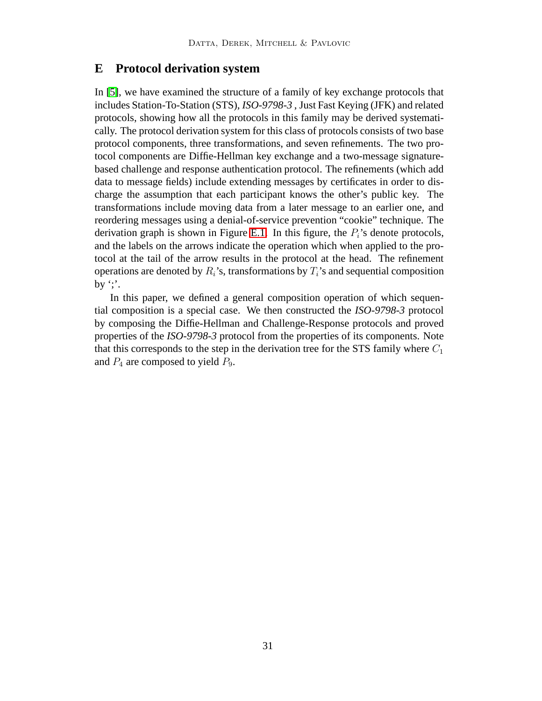## <span id="page-30-0"></span>**E Protocol derivation system**

In [\[5\]](#page-19-1), we have examined the structure of a family of key exchange protocols that includes Station-To-Station (STS), *ISO-9798-3* , Just Fast Keying (JFK) and related protocols, showing how all the protocols in this family may be derived systematically. The protocol derivation system for this class of protocols consists of two base protocol components, three transformations, and seven refinements. The two protocol components are Diffie-Hellman key exchange and a two-message signaturebased challenge and response authentication protocol. The refinements (which add data to message fields) include extending messages by certificates in order to discharge the assumption that each participant knows the other's public key. The transformations include moving data from a later message to an earlier one, and reordering messages using a denial-of-service prevention "cookie" technique. The derivation graph is shown in Figure [E.1.](#page-31-0) In this figure, the  $P_i$ 's denote protocols, and the labels on the arrows indicate the operation which when applied to the protocol at the tail of the arrow results in the protocol at the head. The refinement operations are denoted by  $R_i$ 's, transformations by  $T_i$ 's and sequential composition by ';'.

In this paper, we defined a general composition operation of which sequential composition is a special case. We then constructed the *ISO-9798-3* protocol by composing the Diffie-Hellman and Challenge-Response protocols and proved properties of the *ISO-9798-3* protocol from the properties of its components. Note that this corresponds to the step in the derivation tree for the STS family where  $C_1$ and  $P_4$  are composed to yield  $P_9$ .